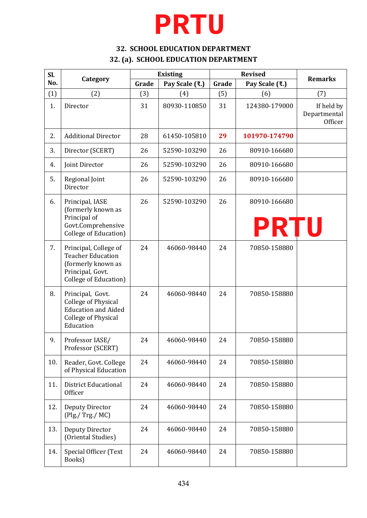## **PRTU**

### **32. SCHOOL EDUCATION DEPARTMENT 32. (a). SCHOOL EDUCATION DEPARTMENT**

| Sl. | Category                                                                                                                |       | <b>Existing</b> | <b>Revised</b> |                             | <b>Remarks</b>                        |
|-----|-------------------------------------------------------------------------------------------------------------------------|-------|-----------------|----------------|-----------------------------|---------------------------------------|
| No. |                                                                                                                         | Grade | Pay Scale (₹.)  | Grade          | Pay Scale (₹.)              |                                       |
| (1) | (2)                                                                                                                     | (3)   | (4)             | (5)            | (6)                         | (7)                                   |
| 1.  | Director                                                                                                                | 31    | 80930-110850    | 31             | 124380-179000               | If held by<br>Departmental<br>Officer |
| 2.  | <b>Additional Director</b>                                                                                              | 28    | 61450-105810    | 29             | 101970-174790               |                                       |
| 3.  | Director (SCERT)                                                                                                        | 26    | 52590-103290    | 26             | 80910-166680                |                                       |
| 4.  | Joint Director                                                                                                          | 26    | 52590-103290    | 26             | 80910-166680                |                                       |
| 5.  | Regional Joint<br>Director                                                                                              | 26    | 52590-103290    | 26             | 80910-166680                |                                       |
| 6.  | Principal, IASE<br>(formerly known as<br>Principal of<br>Govt.Comprehensive<br><b>College of Education</b> )            | 26    | 52590-103290    | 26             | 80910-166680<br><b>PRTU</b> |                                       |
| 7.  | Principal, College of<br><b>Teacher Education</b><br>(formerly known as<br>Principal, Govt.<br>College of Education)    | 24    | 46060-98440     | 24             | 70850-158880                |                                       |
| 8.  | Principal, Govt.<br><b>College of Physical</b><br><b>Education and Aided</b><br><b>College of Physical</b><br>Education | 24    | 46060-98440     | 24             | 70850-158880                |                                       |
| 9.  | Professor IASE/<br>Professor (SCERT)                                                                                    | 24    | 46060-98440     | 24             | 70850-158880                |                                       |
| 10. | Reader, Govt. College<br>of Physical Education                                                                          | 24    | 46060-98440     | 24             | 70850-158880                |                                       |
| 11. | <b>District Educational</b><br>Officer                                                                                  | 24    | 46060-98440     | 24             | 70850-158880                |                                       |
| 12. | Deputy Director<br>$($ Plg./ Trg./ MC $)$                                                                               | 24    | 46060-98440     | 24             | 70850-158880                |                                       |
| 13. | Deputy Director<br>(Oriental Studies)                                                                                   | 24    | 46060-98440     | 24             | 70850-158880                |                                       |
| 14. | Special Officer (Text<br>Books)                                                                                         | 24    | 46060-98440     | 24             | 70850-158880                |                                       |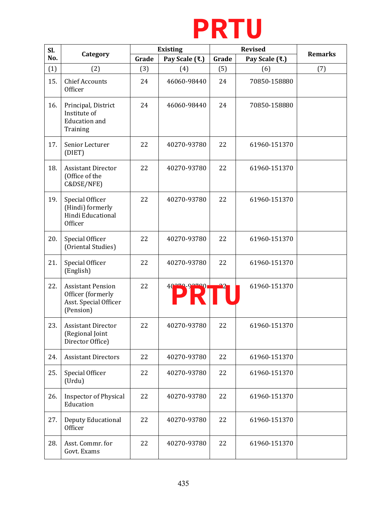

|     | <b>PRTU</b>                                                                         |                 |                     |       |                |                |  |  |
|-----|-------------------------------------------------------------------------------------|-----------------|---------------------|-------|----------------|----------------|--|--|
| Sl. | Category                                                                            | <b>Existing</b> |                     |       | <b>Revised</b> | <b>Remarks</b> |  |  |
| No. |                                                                                     | Grade           | Pay Scale (₹.)      | Grade | Pay Scale (₹.) |                |  |  |
| (1) | (2)                                                                                 | (3)             | (4)                 | (5)   | (6)            | (7)            |  |  |
| 15. | <b>Chief Accounts</b><br>Officer                                                    | 24              | 46060-98440         | 24    | 70850-158880   |                |  |  |
| 16. | Principal, District<br>Institute of<br><b>Education</b> and<br>Training             | 24              | 46060-98440         | 24    | 70850-158880   |                |  |  |
| 17. | Senior Lecturer<br>(DIET)                                                           | 22              | 40270-93780         | 22    | 61960-151370   |                |  |  |
| 18. | <b>Assistant Director</b><br>(Office of the<br>C&DSE/NFE)                           | 22              | 40270-93780         | 22    | 61960-151370   |                |  |  |
| 19. | Special Officer<br>(Hindi) formerly<br>Hindi Educational<br>Officer                 | 22              | 40270-93780         | 22    | 61960-151370   |                |  |  |
| 20. | Special Officer<br>(Oriental Studies)                                               | 22              | 40270-93780         | 22    | 61960-151370   |                |  |  |
| 21. | Special Officer<br>(English)                                                        | 22              | 40270-93780         | 22    | 61960-151370   |                |  |  |
| 22. | <b>Assistant Pension</b><br>Officer (formerly<br>Asst. Special Officer<br>(Pension) | 22              | 40270-93780<br>PRTU |       | 61960-151370   |                |  |  |
| 23. | <b>Assistant Director</b><br>(Regional Joint<br>Director Office)                    | 22              | 40270-93780         | 22    | 61960-151370   |                |  |  |
| 24. | <b>Assistant Directors</b>                                                          | 22              | 40270-93780         | 22    | 61960-151370   |                |  |  |
| 25. | Special Officer<br>(Urdu)                                                           | 22              | 40270-93780         | 22    | 61960-151370   |                |  |  |
| 26. | <b>Inspector of Physical</b><br>Education                                           | 22              | 40270-93780         | 22    | 61960-151370   |                |  |  |
| 27. | Deputy Educational<br>Officer                                                       | 22              | 40270-93780         | 22    | 61960-151370   |                |  |  |
| 28. | Asst. Commr. for<br>Govt. Exams                                                     | 22              | 40270-93780         | 22    | 61960-151370   |                |  |  |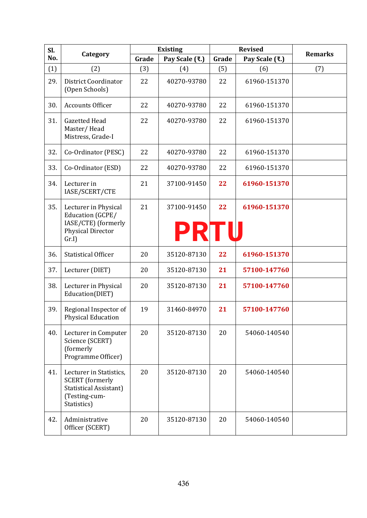| Sl. |                                                                                                                    |       | <b>Existing</b>     | <b>Revised</b> |                | <b>Remarks</b> |
|-----|--------------------------------------------------------------------------------------------------------------------|-------|---------------------|----------------|----------------|----------------|
| No. | Category                                                                                                           | Grade | Pay Scale (₹.)      | Grade          | Pay Scale (₹.) |                |
| (1) | (2)                                                                                                                | (3)   | (4)                 | (5)            | (6)            | (7)            |
| 29. | <b>District Coordinator</b><br>(Open Schools)                                                                      | 22    | 40270-93780         | 22             | 61960-151370   |                |
| 30. | <b>Accounts Officer</b>                                                                                            | 22    | 40270-93780         | 22             | 61960-151370   |                |
| 31. | <b>Gazetted Head</b><br>Master/Head<br>Mistress, Grade-I                                                           | 22    | 40270-93780         | 22             | 61960-151370   |                |
| 32. | Co-Ordinator (PESC)                                                                                                | 22    | 40270-93780         | 22             | 61960-151370   |                |
| 33. | Co-Ordinator (ESD)                                                                                                 | 22    | 40270-93780         | 22             | 61960-151370   |                |
| 34. | Lecturer in<br>IASE/SCERT/CTE                                                                                      | 21    | 37100-91450         | 22             | 61960-151370   |                |
| 35. | Lecturer in Physical<br>Education (GCPE/<br>IASE/CTE) (formerly<br>Physical Director<br>Gr.I                       | 21    | 37100-91450<br>PRTU | 22             | 61960-151370   |                |
| 36. | <b>Statistical Officer</b>                                                                                         | 20    | 35120-87130         | 22             | 61960-151370   |                |
| 37. | Lecturer (DIET)                                                                                                    | 20    | 35120-87130         | 21             | 57100-147760   |                |
| 38. | Lecturer in Physical<br>Education(DIET)                                                                            | 20    | 35120-87130         | 21             | 57100-147760   |                |
| 39. | Regional Inspector of<br><b>Physical Education</b>                                                                 | 19    | 31460-84970         | 21             | 57100-147760   |                |
| 40. | Lecturer in Computer<br>Science (SCERT)<br>(formerly<br>Programme Officer)                                         | 20    | 35120-87130         | 20             | 54060-140540   |                |
| 41. | Lecturer in Statistics,<br><b>SCERT</b> (formerly<br><b>Statistical Assistant)</b><br>(Testing-cum-<br>Statistics) | 20    | 35120-87130         | 20             | 54060-140540   |                |
| 42. | Administrative<br>Officer (SCERT)                                                                                  | 20    | 35120-87130         | 20             | 54060-140540   |                |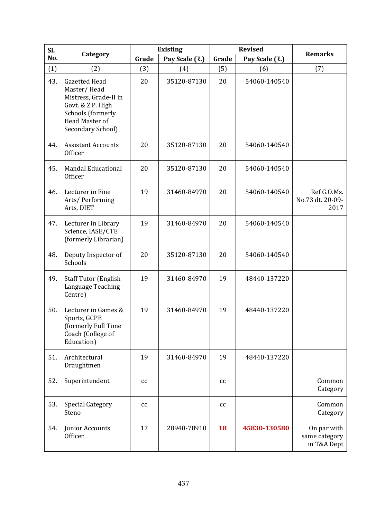| Sl. |                                                                                                                                                      |       | <b>Existing</b> | <b>Revised</b> |                | <b>Remarks</b>                              |
|-----|------------------------------------------------------------------------------------------------------------------------------------------------------|-------|-----------------|----------------|----------------|---------------------------------------------|
| No. | Category                                                                                                                                             | Grade | Pay Scale (₹.)  | Grade          | Pay Scale (₹.) |                                             |
| (1) | (2)                                                                                                                                                  | (3)   | (4)             | (5)            | (6)            | (7)                                         |
| 43. | <b>Gazetted Head</b><br>Master/Head<br>Mistress, Grade-II in<br>Govt. & Z.P. High<br>Schools (formerly<br><b>Head Master of</b><br>Secondary School) | 20    | 35120-87130     | 20             | 54060-140540   |                                             |
| 44. | <b>Assistant Accounts</b><br>Officer                                                                                                                 | 20    | 35120-87130     | 20             | 54060-140540   |                                             |
| 45. | <b>Mandal Educational</b><br>Officer                                                                                                                 | 20    | 35120-87130     | 20             | 54060-140540   |                                             |
| 46. | Lecturer in Fine<br>Arts/Performing<br>Arts, DIET                                                                                                    | 19    | 31460-84970     | 20             | 54060-140540   | Ref G.O.Ms.<br>No.73 dt. 20-09-<br>2017     |
| 47. | Lecturer in Library<br>Science, IASE/CTE<br>(formerly Librarian)                                                                                     | 19    | 31460-84970     | 20             | 54060-140540   |                                             |
| 48. | Deputy Inspector of<br>Schools                                                                                                                       | 20    | 35120-87130     | 20             | 54060-140540   |                                             |
| 49. | <b>Staff Tutor (English</b><br>Language Teaching<br>Centre)                                                                                          | 19    | 31460-84970     | 19             | 48440-137220   |                                             |
| 50. | Lecturer in Games &<br>Sports, GCPE<br>(formerly Full Time<br>Coach (College of<br>Education)                                                        | 19    | 31460-84970     | 19             | 48440-137220   |                                             |
| 51. | Architectural<br>Draughtmen                                                                                                                          | 19    | 31460-84970     | 19             | 48440-137220   |                                             |
| 52. | Superintendent                                                                                                                                       | cc    |                 | cc             |                | Common<br>Category                          |
| 53. | <b>Special Category</b><br>Steno                                                                                                                     | cc    |                 | cc             |                | Common<br>Category                          |
| 54. | Junior Accounts<br>Officer                                                                                                                           | 17    | 28940-78910     | 18             | 45830-130580   | On par with<br>same category<br>in T&A Dept |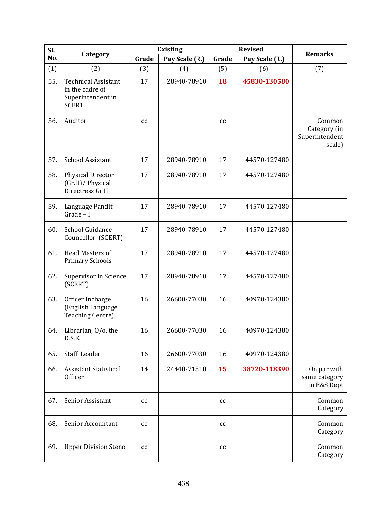| Sl. |                                                                                    |       | <b>Existing</b> | <b>Revised</b>             |                | <b>Remarks</b>                                     |
|-----|------------------------------------------------------------------------------------|-------|-----------------|----------------------------|----------------|----------------------------------------------------|
| No. | Category                                                                           | Grade | Pay Scale (₹.)  | Grade                      | Pay Scale (₹.) |                                                    |
| (1) | (2)                                                                                | (3)   | (4)             | (5)                        | (6)            | (7)                                                |
| 55. | <b>Technical Assistant</b><br>in the cadre of<br>Superintendent in<br><b>SCERT</b> | 17    | 28940-78910     | 18                         | 45830-130580   |                                                    |
| 56. | Auditor                                                                            | cc    |                 | cc                         |                | Common<br>Category (in<br>Superintendent<br>scale) |
| 57. | School Assistant                                                                   | 17    | 28940-78910     | 17                         | 44570-127480   |                                                    |
| 58. | <b>Physical Director</b><br>(Gr.II)/ Physical<br>Directress Gr.II                  | 17    | 28940-78910     | 17                         | 44570-127480   |                                                    |
| 59. | Language Pandit<br>$Grade - I$                                                     | 17    | 28940-78910     | 17                         | 44570-127480   |                                                    |
| 60. | School Guidance<br>Councellor (SCERT)                                              | 17    | 28940-78910     | 17                         | 44570-127480   |                                                    |
| 61. | Head Masters of<br><b>Primary Schools</b>                                          | 17    | 28940-78910     | 17                         | 44570-127480   |                                                    |
| 62. | <b>Supervisor in Science</b><br>(SCERT)                                            | 17    | 28940-78910     | 17                         | 44570-127480   |                                                    |
| 63. | Officer Incharge<br>(English Language<br><b>Teaching Centre)</b>                   | 16    | 26600-77030     | 16                         | 40970-124380   |                                                    |
| 64. | Librarian, O/o. the<br>D.S.E.                                                      | 16    | 26600-77030     | 16                         | 40970-124380   |                                                    |
| 65. | Staff Leader                                                                       | 16    | 26600-77030     | 16                         | 40970-124380   |                                                    |
| 66. | <b>Assistant Statistical</b><br>Officer                                            | 14    | 24440-71510     | 15                         | 38720-118390   | On par with<br>same category<br>in E&S Dept        |
| 67. | Senior Assistant                                                                   | cc    |                 | cc                         |                | Common<br>Category                                 |
| 68. | Senior Accountant                                                                  | cc    |                 | cc                         |                | Common<br>Category                                 |
| 69. | <b>Upper Division Steno</b>                                                        | cc    |                 | $\mathop{\rm cc}\nolimits$ |                | Common<br>Category                                 |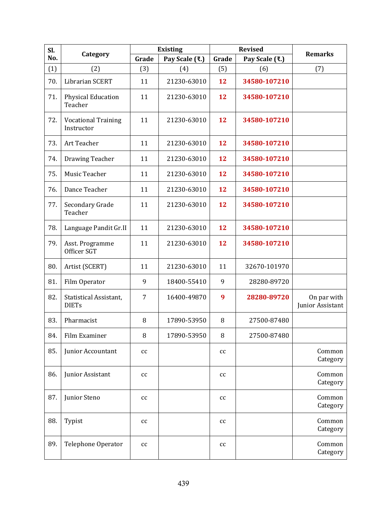| Sl. | Category                                 |       | <b>Existing</b> | <b>Revised</b> |                | <b>Remarks</b>                  |
|-----|------------------------------------------|-------|-----------------|----------------|----------------|---------------------------------|
| No. |                                          | Grade | Pay Scale (₹.)  | Grade          | Pay Scale (₹.) |                                 |
| (1) | (2)                                      | (3)   | (4)             | (5)            | (6)            | (7)                             |
| 70. | <b>Librarian SCERT</b>                   | 11    | 21230-63010     | 12             | 34580-107210   |                                 |
| 71. | <b>Physical Education</b><br>Teacher     | 11    | 21230-63010     | 12             | 34580-107210   |                                 |
| 72. | <b>Vocational Training</b><br>Instructor | 11    | 21230-63010     | 12             | 34580-107210   |                                 |
| 73. | Art Teacher                              | 11    | 21230-63010     | 12             | 34580-107210   |                                 |
| 74. | Drawing Teacher                          | 11    | 21230-63010     | 12             | 34580-107210   |                                 |
| 75. | Music Teacher                            | 11    | 21230-63010     | 12             | 34580-107210   |                                 |
| 76. | Dance Teacher                            | 11    | 21230-63010     | 12             | 34580-107210   |                                 |
| 77. | Secondary Grade<br>Teacher               | 11    | 21230-63010     | 12             | 34580-107210   |                                 |
| 78. | Language Pandit Gr.II                    | 11    | 21230-63010     | 12             | 34580-107210   |                                 |
| 79. | Asst. Programme<br>Officer SGT           | 11    | 21230-63010     | 12             | 34580-107210   |                                 |
| 80. | Artist (SCERT)                           | 11    | 21230-63010     | 11             | 32670-101970   |                                 |
| 81. | Film Operator                            | 9     | 18400-55410     | 9              | 28280-89720    |                                 |
| 82. | Statistical Assistant,<br><b>DIETs</b>   | 7     | 16400-49870     | 9              | 28280-89720    | On par with<br>Junior Assistant |
| 83. | Pharmacist                               | 8     | 17890-53950     | 8              | 27500-87480    |                                 |
| 84. | Film Examiner                            | 8     | 17890-53950     | 8              | 27500-87480    |                                 |
| 85. | Junior Accountant                        | cc    |                 | cc             |                | Common<br>Category              |
| 86. | Junior Assistant                         | cc    |                 | cc             |                | Common<br>Category              |
| 87. | Junior Steno                             | cc    |                 | cc             |                | Common<br>Category              |
| 88. | Typist                                   | cc    |                 | cc             |                | Common<br>Category              |
| 89. | Telephone Operator                       | cc    |                 | cc             |                | Common<br>Category              |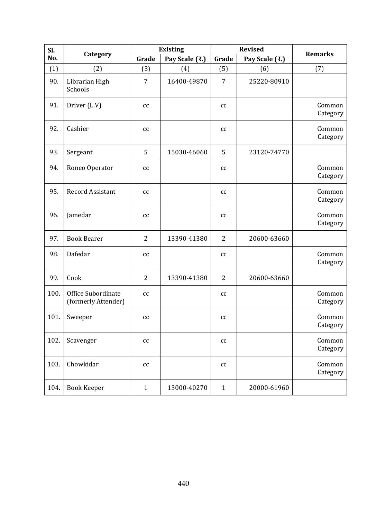| Sl.  |                                           | <b>Existing</b>            |                |                | <b>Revised</b> | <b>Remarks</b>     |
|------|-------------------------------------------|----------------------------|----------------|----------------|----------------|--------------------|
| No.  | Category                                  | Grade                      | Pay Scale (₹.) | Grade          | Pay Scale (₹.) |                    |
| (1)  | (2)                                       | (3)                        | (4)            | (5)            | (6)            | (7)                |
| 90.  | Librarian High<br>Schools                 | $\overline{7}$             | 16400-49870    | 7              | 25220-80910    |                    |
| 91.  | Driver (L.V)                              | $\mathop{\rm cc}\nolimits$ |                | cc             |                | Common<br>Category |
| 92.  | Cashier                                   | cc                         |                | cc             |                | Common<br>Category |
| 93.  | Sergeant                                  | 5                          | 15030-46060    | 5              | 23120-74770    |                    |
| 94.  | Roneo Operator                            | cc                         |                | cc             |                | Common<br>Category |
| 95.  | <b>Record Assistant</b>                   | cc                         |                | cc             |                | Common<br>Category |
| 96.  | Jamedar                                   | cc                         |                | cc             |                | Common<br>Category |
| 97.  | <b>Book Bearer</b>                        | $\overline{2}$             | 13390-41380    | $\overline{2}$ | 20600-63660    |                    |
| 98.  | Dafedar                                   | $\mathop{\rm cc}\nolimits$ |                | cc             |                | Common<br>Category |
| 99.  | Cook                                      | $\overline{2}$             | 13390-41380    | $\overline{2}$ | 20600-63660    |                    |
| 100. | Office Subordinate<br>(formerly Attender) | cc                         |                | cc             |                | Common<br>Category |
| 101. | Sweeper                                   | $\mathop{\rm cc}\nolimits$ |                | cc             |                | Common<br>Category |
| 102. | Scavenger                                 | $\mathop{\rm cc}\nolimits$ |                | cc             |                | Common<br>Category |
| 103. | Chowkidar                                 | $\mathop{\rm cc}\nolimits$ |                | cc             |                | Common<br>Category |
| 104. | <b>Book Keeper</b>                        | $\mathbf{1}$               | 13000-40270    | $\mathbf{1}$   | 20000-61960    |                    |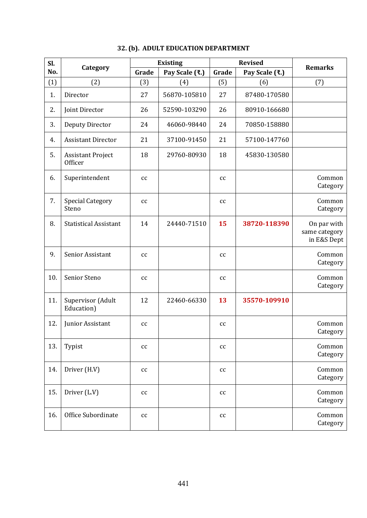| Sl. |                                     |                            | <b>Existing</b> | <b>Revised</b> |                | <b>Remarks</b>                              |
|-----|-------------------------------------|----------------------------|-----------------|----------------|----------------|---------------------------------------------|
| No. | Category                            | Grade                      | Pay Scale (₹.)  | Grade          | Pay Scale (₹.) |                                             |
| (1) | (2)                                 | (3)                        | (4)             | (5)            | (6)            | (7)                                         |
| 1.  | Director                            | 27                         | 56870-105810    | 27             | 87480-170580   |                                             |
| 2.  | Joint Director                      | 26                         | 52590-103290    | 26             | 80910-166680   |                                             |
| 3.  | Deputy Director                     | 24                         | 46060-98440     | 24             | 70850-158880   |                                             |
| 4.  | <b>Assistant Director</b>           | 21                         | 37100-91450     | 21             | 57100-147760   |                                             |
| 5.  | <b>Assistant Project</b><br>Officer | 18                         | 29760-80930     | 18             | 45830-130580   |                                             |
| 6.  | Superintendent                      | cc                         |                 | cc             |                | Common<br>Category                          |
| 7.  | <b>Special Category</b><br>Steno    | cc                         |                 | cc             |                | Common<br>Category                          |
| 8.  | <b>Statistical Assistant</b>        | 14                         | 24440-71510     | 15             | 38720-118390   | On par with<br>same category<br>in E&S Dept |
| 9.  | Senior Assistant                    | cc                         |                 | cc             |                | Common<br>Category                          |
| 10. | Senior Steno                        | cc                         |                 | cc             |                | Common<br>Category                          |
| 11. | Supervisor (Adult<br>Education)     | 12                         | 22460-66330     | 13             | 35570-109910   |                                             |
| 12. | Junior Assistant                    | cc                         |                 | cc             |                | Common<br>Category                          |
| 13. | Typist                              | $\mathop{\rm cc}\nolimits$ |                 | $\rm{cc}$      |                | Common<br>Category                          |
| 14. | Driver (H.V)                        | $\rm{cc}$                  |                 | cc             |                | Common<br>Category                          |
| 15. | Driver (L.V)                        | $\rm{cc}$                  |                 | cc             |                | Common<br>Category                          |
| 16. | Office Subordinate                  | $\mathop{\rm cc}\nolimits$ |                 | $\rm{cc}$      |                | Common<br>Category                          |

### **32. (b). ADULT EDUCATION DEPARTMENT**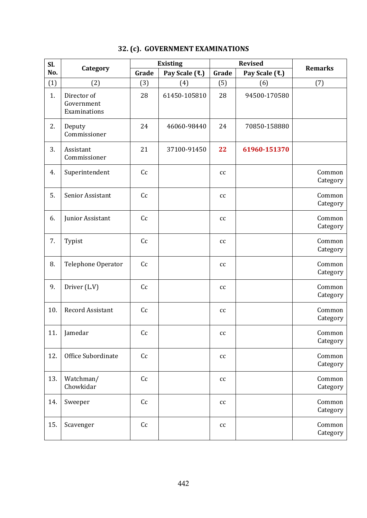| Sl. |                                           |       | <b>Existing</b> | <b>Revised</b>             |                | <b>Remarks</b>     |
|-----|-------------------------------------------|-------|-----------------|----------------------------|----------------|--------------------|
| No. | Category                                  | Grade | Pay Scale (₹.)  | Grade                      | Pay Scale (₹.) |                    |
| (1) | (2)                                       | (3)   | (4)             | (5)                        | (6)            | (7)                |
| 1.  | Director of<br>Government<br>Examinations | 28    | 61450-105810    | 28                         | 94500-170580   |                    |
| 2.  | Deputy<br>Commissioner                    | 24    | 46060-98440     | 24                         | 70850-158880   |                    |
| 3.  | Assistant<br>Commissioner                 | 21    | 37100-91450     | 22                         | 61960-151370   |                    |
| 4.  | Superintendent                            | Cc    |                 | cc                         |                | Common<br>Category |
| 5.  | Senior Assistant                          | Cc    |                 | cc                         |                | Common<br>Category |
| 6.  | Junior Assistant                          | Cc    |                 | cc                         |                | Common<br>Category |
| 7.  | Typist                                    | Cc    |                 | cc                         |                | Common<br>Category |
| 8.  | <b>Telephone Operator</b>                 | Cc    |                 | cc                         |                | Common<br>Category |
| 9.  | Driver (L.V)                              | Cc    |                 | cc                         |                | Common<br>Category |
| 10. | <b>Record Assistant</b>                   | Cc    |                 | cc                         |                | Common<br>Category |
| 11. | Jamedar                                   | Cc    |                 | $\mathop{\rm cc}\nolimits$ |                | Common<br>Category |
| 12. | Office Subordinate                        | Cc    |                 | cc                         |                | Common<br>Category |
| 13. | Watchman/<br>Chowkidar                    | Cc    |                 | cc                         |                | Common<br>Category |
| 14. | Sweeper                                   | Cc    |                 | cc                         |                | Common<br>Category |
| 15. | Scavenger                                 | Cc    |                 | cc                         |                | Common<br>Category |

## **32. (c). GOVERNMENT EXAMINATIONS**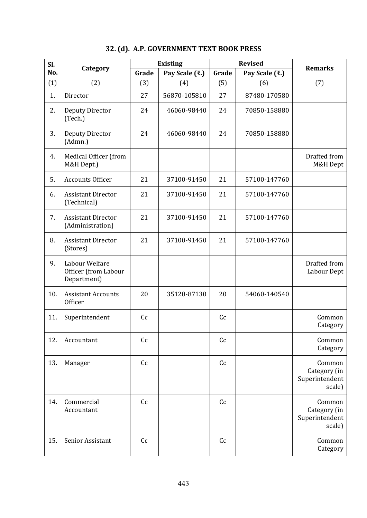| Sl. |                                                       |       | <b>Existing</b> |       | <b>Revised</b> | <b>Remarks</b>                                     |
|-----|-------------------------------------------------------|-------|-----------------|-------|----------------|----------------------------------------------------|
| No. | Category                                              | Grade | Pay Scale (₹.)  | Grade | Pay Scale (₹.) |                                                    |
| (1) | (2)                                                   | (3)   | (4)             | (5)   | (6)            | (7)                                                |
| 1.  | Director                                              | 27    | 56870-105810    | 27    | 87480-170580   |                                                    |
| 2.  | Deputy Director<br>(Tech.)                            | 24    | 46060-98440     | 24    | 70850-158880   |                                                    |
| 3.  | Deputy Director<br>(Admn.)                            | 24    | 46060-98440     | 24    | 70850-158880   |                                                    |
| 4.  | Medical Officer (from<br>M&H Dept.)                   |       |                 |       |                | Drafted from<br>M&H Dept                           |
| 5.  | <b>Accounts Officer</b>                               | 21    | 37100-91450     | 21    | 57100-147760   |                                                    |
| 6.  | <b>Assistant Director</b><br>(Technical)              | 21    | 37100-91450     | 21    | 57100-147760   |                                                    |
| 7.  | <b>Assistant Director</b><br>(Administration)         | 21    | 37100-91450     | 21    | 57100-147760   |                                                    |
| 8.  | <b>Assistant Director</b><br>(Stores)                 | 21    | 37100-91450     | 21    | 57100-147760   |                                                    |
| 9.  | Labour Welfare<br>Officer (from Labour<br>Department) |       |                 |       |                | Drafted from<br>Labour Dept                        |
| 10. | <b>Assistant Accounts</b><br><b>Officer</b>           | 20    | 35120-87130     | 20    | 54060-140540   |                                                    |
| 11. | Superintendent                                        | Cc    |                 | Cc    |                | Common<br>Category                                 |
| 12. | Accountant                                            | Cc    |                 | Cc    |                | Common<br>Category                                 |
| 13. | Manager                                               | Cc    |                 | Cc    |                | Common<br>Category (in<br>Superintendent<br>scale) |
| 14. | Commercial<br>Accountant                              | Cc    |                 | Cc    |                | Common<br>Category (in<br>Superintendent<br>scale) |
| 15. | Senior Assistant                                      | Cc    |                 | Cc    |                | Common<br>Category                                 |

## **32. (d). A.P. GOVERNMENT TEXT BOOK PRESS**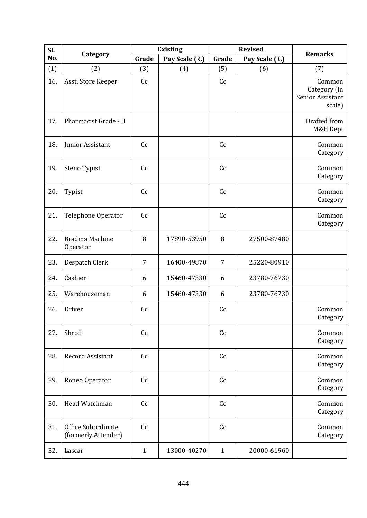| Sl. |                                           |                | <b>Existing</b> | <b>Revised</b> |                |                                                      |
|-----|-------------------------------------------|----------------|-----------------|----------------|----------------|------------------------------------------------------|
| No. | Category                                  | Grade          | Pay Scale (₹.)  | Grade          | Pay Scale (₹.) | <b>Remarks</b>                                       |
| (1) | (2)                                       | (3)            | (4)             | (5)            | (6)            | (7)                                                  |
| 16. | Asst. Store Keeper                        | Cc             |                 | Cc             |                | Common<br>Category (in<br>Senior Assistant<br>scale) |
| 17. | Pharmacist Grade - II                     |                |                 |                |                | Drafted from<br>M&H Dept                             |
| 18. | Junior Assistant                          | Cc             |                 | Cc             |                | Common<br>Category                                   |
| 19. | Steno Typist                              | Cc             |                 | Cc             |                | Common<br>Category                                   |
| 20. | Typist                                    | Cc             |                 | Cc             |                | Common<br>Category                                   |
| 21. | Telephone Operator                        | Cc             |                 | Cc             |                | Common<br>Category                                   |
| 22. | Bradma Machine<br>Operator                | 8              | 17890-53950     | 8              | 27500-87480    |                                                      |
| 23. | Despatch Clerk                            | $\overline{7}$ | 16400-49870     | $\overline{7}$ | 25220-80910    |                                                      |
| 24. | Cashier                                   | 6              | 15460-47330     | 6              | 23780-76730    |                                                      |
| 25. | Warehouseman                              | 6              | 15460-47330     | 6              | 23780-76730    |                                                      |
| 26. | Driver                                    | Cc             |                 | Cc             |                | Common<br>Category                                   |
| 27. | Shroff                                    | Cc             |                 | Cc             |                | Common<br>Category                                   |
| 28. | Record Assistant                          | Cc             |                 | Cc             |                | Common<br>Category                                   |
| 29. | Roneo Operator                            | Cc             |                 | Cc             |                | Common<br>Category                                   |
| 30. | Head Watchman                             | Cc             |                 | Cc             |                | Common<br>Category                                   |
| 31. | Office Subordinate<br>(formerly Attender) | Cc             |                 | Cc             |                | Common<br>Category                                   |
| 32. | Lascar                                    | $\mathbf{1}$   | 13000-40270     | $\mathbf{1}$   | 20000-61960    |                                                      |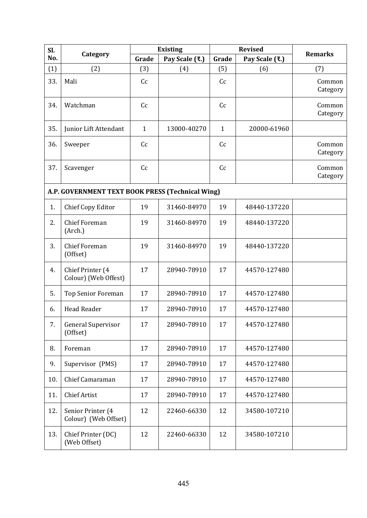| Sl. |                                                  |              | <b>Existing</b> | <b>Revised</b> |                | <b>Remarks</b>     |
|-----|--------------------------------------------------|--------------|-----------------|----------------|----------------|--------------------|
| No. | Category                                         | Grade        | Pay Scale (₹.)  | Grade          | Pay Scale (₹.) |                    |
| (1) | (2)                                              | (3)          | (4)             | (5)            | (6)            | (7)                |
| 33. | Mali                                             | Cc           |                 | Cc             |                | Common<br>Category |
| 34. | Watchman                                         | Cc           |                 | C <sub>c</sub> |                | Common<br>Category |
| 35. | Junior Lift Attendant                            | $\mathbf{1}$ | 13000-40270     | $\mathbf{1}$   | 20000-61960    |                    |
| 36. | Sweeper                                          | Cc           |                 | Cc             |                | Common<br>Category |
| 37. | Scavenger                                        | Cc           |                 | C <sub>c</sub> |                | Common<br>Category |
|     | A.P. GOVERNMENT TEXT BOOK PRESS (Technical Wing) |              |                 |                |                |                    |
| 1.  | Chief Copy Editor                                | 19           | 31460-84970     | 19             | 48440-137220   |                    |
| 2.  | <b>Chief Foreman</b><br>(Arch.)                  | 19           | 31460-84970     | 19             | 48440-137220   |                    |
| 3.  | <b>Chief Foreman</b><br>(Offset)                 | 19           | 31460-84970     | 19             | 48440-137220   |                    |
| 4.  | Chief Printer (4<br>Colour) (Web Offest)         | 17           | 28940-78910     | 17             | 44570-127480   |                    |
| 5.  | <b>Top Senior Foreman</b>                        | 17           | 28940-78910     | 17             | 44570-127480   |                    |
| 6.  | <b>Head Reader</b>                               | 17           | 28940-78910     | 17             | 44570-127480   |                    |
| 7.  | General Supervisor<br>(Offset)                   | 17           | 28940-78910     | 17             | 44570-127480   |                    |
| 8.  | Foreman                                          | 17           | 28940-78910     | 17             | 44570-127480   |                    |
| 9.  | Supervisor (PMS)                                 | 17           | 28940-78910     | 17             | 44570-127480   |                    |
| 10. | Chief Camaraman                                  | 17           | 28940-78910     | 17             | 44570-127480   |                    |
| 11. | <b>Chief Artist</b>                              | 17           | 28940-78910     | 17             | 44570-127480   |                    |
| 12. | Senior Printer (4<br>Colour) (Web Offset)        | 12           | 22460-66330     | 12             | 34580-107210   |                    |
| 13. | Chief Printer (DC)<br>(Web Offset)               | 12           | 22460-66330     | 12             | 34580-107210   |                    |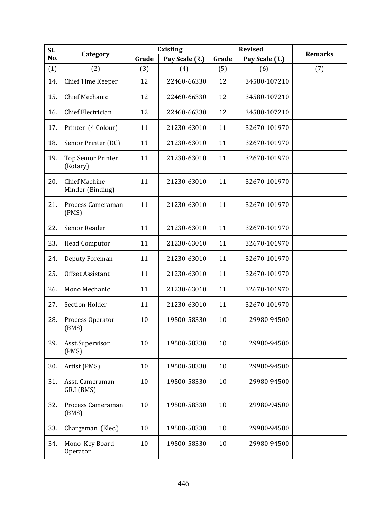| Sl. |                                          |       | <b>Existing</b> | <b>Revised</b> |                | <b>Remarks</b> |
|-----|------------------------------------------|-------|-----------------|----------------|----------------|----------------|
| No. | Category                                 | Grade | Pay Scale (₹.)  | Grade          | Pay Scale (₹.) |                |
| (1) | (2)                                      | (3)   | (4)             | (5)            | (6)            | (7)            |
| 14. | Chief Time Keeper                        | 12    | 22460-66330     | 12             | 34580-107210   |                |
| 15. | <b>Chief Mechanic</b>                    | 12    | 22460-66330     | 12             | 34580-107210   |                |
| 16. | Chief Electrician                        | 12    | 22460-66330     | 12             | 34580-107210   |                |
| 17. | Printer (4 Colour)                       | 11    | 21230-63010     | 11             | 32670-101970   |                |
| 18. | Senior Printer (DC)                      | 11    | 21230-63010     | 11             | 32670-101970   |                |
| 19. | <b>Top Senior Printer</b><br>(Rotary)    | 11    | 21230-63010     | 11             | 32670-101970   |                |
| 20. | <b>Chief Machine</b><br>Minder (Binding) | 11    | 21230-63010     | 11             | 32670-101970   |                |
| 21. | Process Cameraman<br>(PMS)               | 11    | 21230-63010     | 11             | 32670-101970   |                |
| 22. | Senior Reader                            | 11    | 21230-63010     | 11             | 32670-101970   |                |
| 23. | <b>Head Computor</b>                     | 11    | 21230-63010     | 11             | 32670-101970   |                |
| 24. | Deputy Foreman                           | 11    | 21230-63010     | 11             | 32670-101970   |                |
| 25. | Offset Assistant                         | 11    | 21230-63010     | 11             | 32670-101970   |                |
| 26. | Mono Mechanic                            | 11    | 21230-63010     | 11             | 32670-101970   |                |
| 27. | <b>Section Holder</b>                    | 11    | 21230-63010     | 11             | 32670-101970   |                |
| 28. | Process Operator<br>(BMS)                | 10    | 19500-58330     | 10             | 29980-94500    |                |
| 29. | Asst.Supervisor<br>(PMS)                 | 10    | 19500-58330     | 10             | 29980-94500    |                |
| 30. | Artist (PMS)                             | 10    | 19500-58330     | 10             | 29980-94500    |                |
| 31. | Asst. Cameraman<br>GR.I (BMS)            | 10    | 19500-58330     | 10             | 29980-94500    |                |
| 32. | Process Cameraman<br>(BMS)               | 10    | 19500-58330     | 10             | 29980-94500    |                |
| 33. | Chargeman (Elec.)                        | 10    | 19500-58330     | 10             | 29980-94500    |                |
| 34. | Mono Key Board<br>Operator               | 10    | 19500-58330     | 10             | 29980-94500    |                |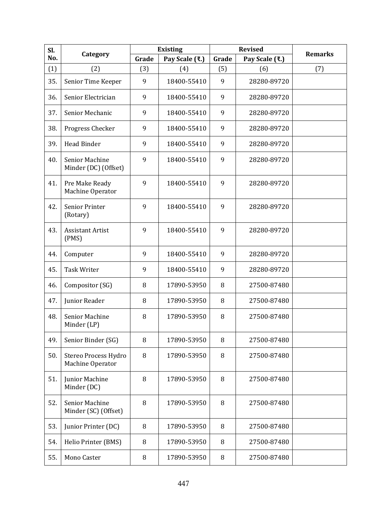| Sl. |                                               |       | <b>Existing</b> | <b>Revised</b> |                |                |
|-----|-----------------------------------------------|-------|-----------------|----------------|----------------|----------------|
| No. | Category                                      | Grade | Pay Scale (₹.)  | Grade          | Pay Scale (₹.) | <b>Remarks</b> |
| (1) | (2)                                           | (3)   | (4)             | (5)            | (6)            | (7)            |
| 35. | Senior Time Keeper                            | 9     | 18400-55410     | 9              | 28280-89720    |                |
| 36. | Senior Electrician                            | 9     | 18400-55410     | 9              | 28280-89720    |                |
| 37. | Senior Mechanic                               | 9     | 18400-55410     | 9              | 28280-89720    |                |
| 38. | Progress Checker                              | 9     | 18400-55410     | 9              | 28280-89720    |                |
| 39. | Head Binder                                   | 9     | 18400-55410     | 9              | 28280-89720    |                |
| 40. | Senior Machine<br>Minder (DC) (Offset)        | 9     | 18400-55410     | 9              | 28280-89720    |                |
| 41. | Pre Make Ready<br>Machine Operator            | 9     | 18400-55410     | 9              | 28280-89720    |                |
| 42. | <b>Senior Printer</b><br>(Rotary)             | 9     | 18400-55410     | 9              | 28280-89720    |                |
| 43. | <b>Assistant Artist</b><br>(PMS)              | 9     | 18400-55410     | 9              | 28280-89720    |                |
| 44. | Computer                                      | 9     | 18400-55410     | 9              | 28280-89720    |                |
| 45. | <b>Task Writer</b>                            | 9     | 18400-55410     | 9              | 28280-89720    |                |
| 46. | Compositor (SG)                               | 8     | 17890-53950     | 8              | 27500-87480    |                |
| 47. | Junior Reader                                 | 8     | 17890-53950     | 8              | 27500-87480    |                |
| 48. | Senior Machine<br>Minder (LP)                 | 8     | 17890-53950     | 8              | 27500-87480    |                |
| 49. | Senior Binder (SG)                            | 8     | 17890-53950     | 8              | 27500-87480    |                |
| 50. | Stereo Process Hydro<br>Machine Operator      | 8     | 17890-53950     | 8              | 27500-87480    |                |
| 51. | Junior Machine<br>Minder (DC)                 | 8     | 17890-53950     | 8              | 27500-87480    |                |
| 52. | <b>Senior Machine</b><br>Minder (SC) (Offset) | 8     | 17890-53950     | 8              | 27500-87480    |                |
| 53. | Junior Printer (DC)                           | 8     | 17890-53950     | 8              | 27500-87480    |                |
| 54. | Helio Printer (BMS)                           | 8     | 17890-53950     | 8              | 27500-87480    |                |
| 55. | Mono Caster                                   | 8     | 17890-53950     | 8              | 27500-87480    |                |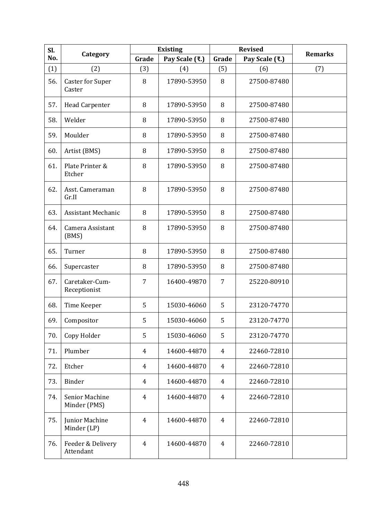| Sl. |                                   |                | <b>Existing</b> | <b>Revised</b> |                | <b>Remarks</b> |
|-----|-----------------------------------|----------------|-----------------|----------------|----------------|----------------|
| No. | Category                          | Grade          | Pay Scale (₹.)  | Grade          | Pay Scale (₹.) |                |
| (1) | (2)                               | (3)            | (4)             | (5)            | (6)            | (7)            |
| 56. | <b>Caster for Super</b><br>Caster | 8              | 17890-53950     | 8              | 27500-87480    |                |
| 57. | Head Carpenter                    | 8              | 17890-53950     | 8              | 27500-87480    |                |
| 58. | Welder                            | 8              | 17890-53950     | 8              | 27500-87480    |                |
| 59. | Moulder                           | 8              | 17890-53950     | 8              | 27500-87480    |                |
| 60. | Artist (BMS)                      | 8              | 17890-53950     | 8              | 27500-87480    |                |
| 61. | Plate Printer &<br>Etcher         | 8              | 17890-53950     | 8              | 27500-87480    |                |
| 62. | Asst. Cameraman<br>Gr.II          | 8              | 17890-53950     | 8              | 27500-87480    |                |
| 63. | <b>Assistant Mechanic</b>         | 8              | 17890-53950     | 8              | 27500-87480    |                |
| 64. | Camera Assistant<br>(BMS)         | 8              | 17890-53950     | 8              | 27500-87480    |                |
| 65. | Turner                            | 8              | 17890-53950     | 8              | 27500-87480    |                |
| 66. | Supercaster                       | 8              | 17890-53950     | 8              | 27500-87480    |                |
| 67. | Caretaker-Cum-<br>Receptionist    | 7              | 16400-49870     | 7              | 25220-80910    |                |
| 68. | Time Keeper                       | 5              | 15030-46060     | 5              | 23120-74770    |                |
| 69. | Compositor                        | 5              | 15030-46060     | 5              | 23120-74770    |                |
| 70. | Copy Holder                       | 5              | 15030-46060     | 5              | 23120-74770    |                |
| 71. | Plumber                           | 4              | 14600-44870     | 4              | 22460-72810    |                |
| 72. | Etcher                            | $\overline{4}$ | 14600-44870     | 4              | 22460-72810    |                |
| 73. | <b>Binder</b>                     | 4              | 14600-44870     | 4              | 22460-72810    |                |
| 74. | Senior Machine<br>Minder (PMS)    | 4              | 14600-44870     | 4              | 22460-72810    |                |
| 75. | Junior Machine<br>Minder (LP)     | $\overline{4}$ | 14600-44870     | $\overline{4}$ | 22460-72810    |                |
| 76. | Feeder & Delivery<br>Attendant    | $\overline{4}$ | 14600-44870     | 4              | 22460-72810    |                |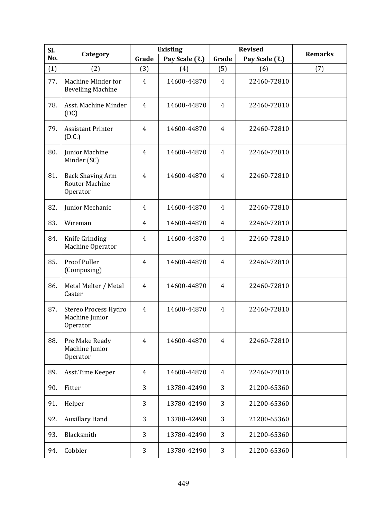| Sl. |                                                              |                | <b>Existing</b> | <b>Revised</b> |                | <b>Remarks</b> |
|-----|--------------------------------------------------------------|----------------|-----------------|----------------|----------------|----------------|
| No. | Category                                                     | Grade          | Pay Scale (₹.)  | Grade          | Pay Scale (₹.) |                |
| (1) | (2)                                                          | (3)            | (4)             | (5)            | (6)            | (7)            |
| 77. | Machine Minder for<br><b>Bevelling Machine</b>               | $\overline{4}$ | 14600-44870     | $\overline{4}$ | 22460-72810    |                |
| 78. | Asst. Machine Minder<br>(DC)                                 | 4              | 14600-44870     | 4              | 22460-72810    |                |
| 79. | <b>Assistant Printer</b><br>(D.C.)                           | $\overline{4}$ | 14600-44870     | 4              | 22460-72810    |                |
| 80. | Junior Machine<br>Minder (SC)                                | 4              | 14600-44870     | $\overline{4}$ | 22460-72810    |                |
| 81. | <b>Back Shaving Arm</b><br><b>Router Machine</b><br>Operator | $\overline{4}$ | 14600-44870     | 4              | 22460-72810    |                |
| 82. | Junior Mechanic                                              | 4              | 14600-44870     | 4              | 22460-72810    |                |
| 83. | Wireman                                                      | 4              | 14600-44870     | 4              | 22460-72810    |                |
| 84. | Knife Grinding<br>Machine Operator                           | 4              | 14600-44870     | $\overline{4}$ | 22460-72810    |                |
| 85. | <b>Proof Puller</b><br>(Composing)                           | 4              | 14600-44870     | 4              | 22460-72810    |                |
| 86. | Metal Melter / Metal<br>Caster                               | $\overline{4}$ | 14600-44870     | $\overline{4}$ | 22460-72810    |                |
| 87. | Stereo Process Hydro<br>Machine Junior<br>Operator           | 4              | 14600-44870     | 4              | 22460-72810    |                |
| 88. | Pre Make Ready<br>Machine Junior<br>Operator                 | $\overline{4}$ | 14600-44870     | 4              | 22460-72810    |                |
| 89. | Asst.Time Keeper                                             | 4              | 14600-44870     | 4              | 22460-72810    |                |
| 90. | Fitter                                                       | 3              | 13780-42490     | 3              | 21200-65360    |                |
| 91. | Helper                                                       | 3              | 13780-42490     | 3              | 21200-65360    |                |
| 92. | <b>Auxillary Hand</b>                                        | 3              | 13780-42490     | 3              | 21200-65360    |                |
| 93. | Blacksmith                                                   | 3              | 13780-42490     | 3              | 21200-65360    |                |
| 94. | Cobbler                                                      | 3              | 13780-42490     | 3              | 21200-65360    |                |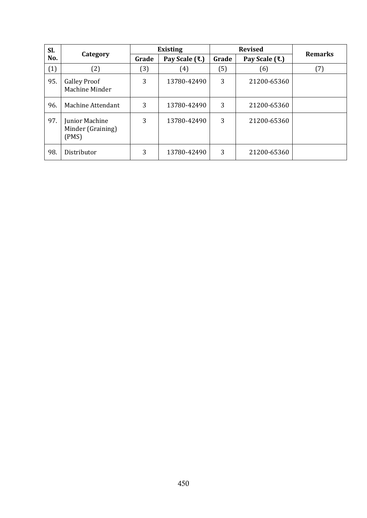| Sl. |                                              | <b>Existing</b> |                |       | <b>Revised</b> |                |
|-----|----------------------------------------------|-----------------|----------------|-------|----------------|----------------|
| No. | Category                                     | Grade           | Pay Scale (₹.) | Grade | Pay Scale (₹.) | <b>Remarks</b> |
| (1) | (2)                                          | (3)             | (4)            | (5)   | (6)            | (7)            |
| 95. | <b>Galley Proof</b><br>Machine Minder        | 3               | 13780-42490    | 3     | 21200-65360    |                |
| 96. | Machine Attendant                            | 3               | 13780-42490    | 3     | 21200-65360    |                |
| 97. | Junior Machine<br>Minder (Graining)<br>(PMS) | 3               | 13780-42490    | 3     | 21200-65360    |                |
| 98. | Distributor                                  | 3               | 13780-42490    | 3     | 21200-65360    |                |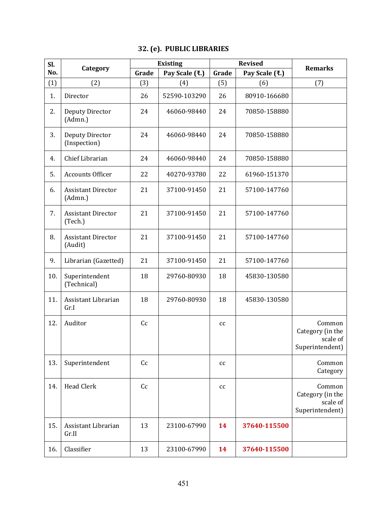## **32. (e). PUBLIC LIBRARIES**

| Sl. |                                        |       | <b>Existing</b> | <b>Revised</b>             |                | <b>Remarks</b>                                            |
|-----|----------------------------------------|-------|-----------------|----------------------------|----------------|-----------------------------------------------------------|
| No. | Category                               | Grade | Pay Scale (₹.)  | Grade                      | Pay Scale (₹.) |                                                           |
| (1) | (2)                                    | (3)   | (4)             | (5)                        | (6)            | (7)                                                       |
| 1.  | Director                               | 26    | 52590-103290    | 26                         | 80910-166680   |                                                           |
| 2.  | Deputy Director<br>(Admn.)             | 24    | 46060-98440     | 24                         | 70850-158880   |                                                           |
| 3.  | <b>Deputy Director</b><br>(Inspection) | 24    | 46060-98440     | 24                         | 70850-158880   |                                                           |
| 4.  | Chief Librarian                        | 24    | 46060-98440     | 24                         | 70850-158880   |                                                           |
| 5.  | <b>Accounts Officer</b>                | 22    | 40270-93780     | 22                         | 61960-151370   |                                                           |
| 6.  | <b>Assistant Director</b><br>(Admn.)   | 21    | 37100-91450     | 21                         | 57100-147760   |                                                           |
| 7.  | <b>Assistant Director</b><br>(Tech.)   | 21    | 37100-91450     | 21                         | 57100-147760   |                                                           |
| 8.  | <b>Assistant Director</b><br>(Audit)   | 21    | 37100-91450     | 21                         | 57100-147760   |                                                           |
| 9.  | Librarian (Gazetted)                   | 21    | 37100-91450     | 21                         | 57100-147760   |                                                           |
| 10. | Superintendent<br>(Technical)          | 18    | 29760-80930     | 18                         | 45830-130580   |                                                           |
| 11. | Assistant Librarian<br>Gr.I            | 18    | 29760-80930     | 18                         | 45830-130580   |                                                           |
| 12. | Auditor                                | Cc    |                 | cc                         |                | Common<br>Category (in the<br>scale of<br>Superintendent) |
| 13. | Superintendent                         | Cc    |                 | cc                         |                | Common<br>Category                                        |
| 14. | <b>Head Clerk</b>                      | Cc    |                 | $\mathop{\rm cc}\nolimits$ |                | Common<br>Category (in the<br>scale of<br>Superintendent) |
| 15. | Assistant Librarian<br>Gr.II           | 13    | 23100-67990     | 14                         | 37640-115500   |                                                           |
| 16. | Classifier                             | 13    | 23100-67990     | 14                         | 37640-115500   |                                                           |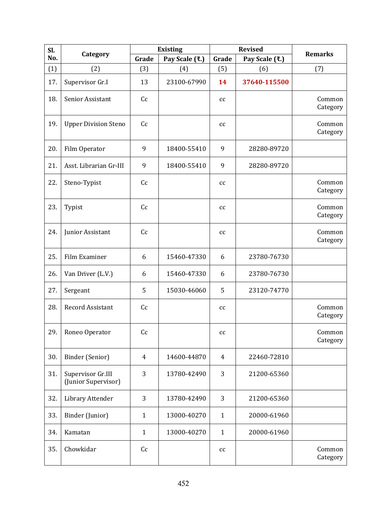| Sl. |                                          |                | <b>Existing</b> |                            | <b>Revised</b> | <b>Remarks</b>     |
|-----|------------------------------------------|----------------|-----------------|----------------------------|----------------|--------------------|
| No. | Category                                 | Grade          | Pay Scale (₹.)  | Grade                      | Pay Scale (₹.) |                    |
| (1) | (2)                                      | (3)            | (4)             | (5)                        | (6)            | (7)                |
| 17. | Supervisor Gr.I                          | 13             | 23100-67990     | 14                         | 37640-115500   |                    |
| 18. | Senior Assistant                         | Cc             |                 | cc                         |                | Common<br>Category |
| 19. | <b>Upper Division Steno</b>              | Cc             |                 | cc                         |                | Common<br>Category |
| 20. | Film Operator                            | 9              | 18400-55410     | 9                          | 28280-89720    |                    |
| 21. | Asst. Librarian Gr-III                   | 9              | 18400-55410     | 9                          | 28280-89720    |                    |
| 22. | Steno-Typist                             | Cc             |                 | cc                         |                | Common<br>Category |
| 23. | Typist                                   | Cc             |                 | cc                         |                | Common<br>Category |
| 24. | Junior Assistant                         | Cc             |                 | cc                         |                | Common<br>Category |
| 25. | Film Examiner                            | 6              | 15460-47330     | 6                          | 23780-76730    |                    |
| 26. | Van Driver (L.V.)                        | 6              | 15460-47330     | 6                          | 23780-76730    |                    |
| 27. | Sergeant                                 | 5              | 15030-46060     | 5                          | 23120-74770    |                    |
| 28. | <b>Record Assistant</b>                  | Cc             |                 | $\mathop{\rm cc}\nolimits$ |                | Common<br>Category |
| 29. | Roneo Operator                           | Cc             |                 | cc                         |                | Common<br>Category |
| 30. | Binder (Senior)                          | $\overline{4}$ | 14600-44870     | $\overline{4}$             | 22460-72810    |                    |
| 31. | Supervisor Gr.III<br>(Junior Supervisor) | 3              | 13780-42490     | 3                          | 21200-65360    |                    |
| 32. | Library Attender                         | 3              | 13780-42490     | 3                          | 21200-65360    |                    |
| 33. | Binder (Junior)                          | $\mathbf{1}$   | 13000-40270     | $\mathbf{1}$               | 20000-61960    |                    |
| 34. | Kamatan                                  | $\mathbf{1}$   | 13000-40270     | $\mathbf{1}$               | 20000-61960    |                    |
| 35. | Chowkidar                                | Cc             |                 | cc                         |                | Common<br>Category |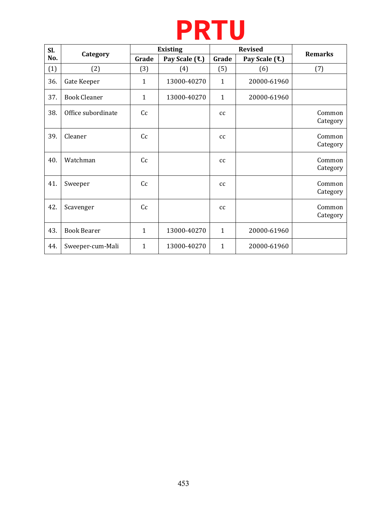# **PRTU**

| SI. |                     | <b>Existing</b> |                |              | <b>Revised</b> | <b>Remarks</b>     |
|-----|---------------------|-----------------|----------------|--------------|----------------|--------------------|
| No. | Category            | Grade           | Pay Scale (₹.) | Grade        | Pay Scale (₹.) |                    |
| (1) | (2)                 | (3)             | (4)            | (5)          | (6)            | (7)                |
| 36. | Gate Keeper         | $\mathbf{1}$    | 13000-40270    | $\mathbf{1}$ | 20000-61960    |                    |
| 37. | <b>Book Cleaner</b> | $\mathbf{1}$    | 13000-40270    | $\mathbf{1}$ | 20000-61960    |                    |
| 38. | Office subordinate  | Cc              |                | cc           |                | Common<br>Category |
| 39. | Cleaner             | Cc              |                | cc           |                | Common<br>Category |
| 40. | Watchman            | Cc              |                | cc           |                | Common<br>Category |
| 41. | Sweeper             | Cc              |                | cc           |                | Common<br>Category |
| 42. | Scavenger           | Cc              |                | cc           |                | Common<br>Category |
| 43. | <b>Book Bearer</b>  | $\mathbf{1}$    | 13000-40270    | $\mathbf{1}$ | 20000-61960    |                    |
| 44. | Sweeper-cum-Mali    | 1               | 13000-40270    | $\mathbf{1}$ | 20000-61960    |                    |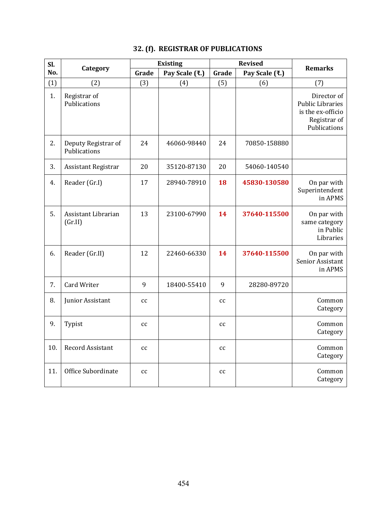### **32. (f). REGISTRAR OF PUBLICATIONS**

| Sl. |                                     |                            | <b>Existing</b> |                            | <b>Revised</b> | <b>Remarks</b>                                                                              |
|-----|-------------------------------------|----------------------------|-----------------|----------------------------|----------------|---------------------------------------------------------------------------------------------|
| No. | Category                            | Grade                      | Pay Scale (₹.)  | Grade                      | Pay Scale (₹.) |                                                                                             |
| (1) | (2)                                 | (3)                        | (4)             | (5)                        | (6)            | (7)                                                                                         |
| 1.  | Registrar of<br>Publications        |                            |                 |                            |                | Director of<br><b>Public Libraries</b><br>is the ex-officio<br>Registrar of<br>Publications |
| 2.  | Deputy Registrar of<br>Publications | 24                         | 46060-98440     | 24                         | 70850-158880   |                                                                                             |
| 3.  | Assistant Registrar                 | 20                         | 35120-87130     | 20                         | 54060-140540   |                                                                                             |
| 4.  | Reader (Gr.I)                       | 17                         | 28940-78910     | 18                         | 45830-130580   | On par with<br>Superintendent<br>in APMS                                                    |
| 5.  | Assistant Librarian<br>(Gr.II)      | 13                         | 23100-67990     | 14                         | 37640-115500   | On par with<br>same category<br>in Public<br>Libraries                                      |
| 6.  | Reader (Gr.II)                      | 12                         | 22460-66330     | 14                         | 37640-115500   | On par with<br>Senior Assistant<br>in APMS                                                  |
| 7.  | Card Writer                         | 9                          | 18400-55410     | 9                          | 28280-89720    |                                                                                             |
| 8.  | Junior Assistant                    | cc                         |                 | cc                         |                | Common<br>Category                                                                          |
| 9.  | Typist                              | $\mathop{\rm cc}\nolimits$ |                 | cc                         |                | Common<br>Category                                                                          |
| 10. | Record Assistant                    | $\mathop{\rm cc}\nolimits$ |                 | cc                         |                | Common<br>Category                                                                          |
| 11. | Office Subordinate                  | cc                         |                 | $\mathop{\rm cc}\nolimits$ |                | Common<br>Category                                                                          |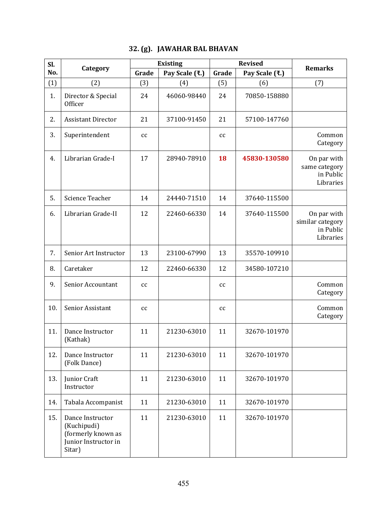| Sl. | Category                                                                                |       | <b>Existing</b> |       | <b>Revised</b> | <b>Remarks</b>                                            |
|-----|-----------------------------------------------------------------------------------------|-------|-----------------|-------|----------------|-----------------------------------------------------------|
| No. |                                                                                         | Grade | Pay Scale (₹.)  | Grade | Pay Scale (₹.) |                                                           |
| (1) | (2)                                                                                     | (3)   | (4)             | (5)   | (6)            | (7)                                                       |
| 1.  | Director & Special<br>Officer                                                           | 24    | 46060-98440     | 24    | 70850-158880   |                                                           |
| 2.  | <b>Assistant Director</b>                                                               | 21    | 37100-91450     | 21    | 57100-147760   |                                                           |
| 3.  | Superintendent                                                                          | cc    |                 | cc    |                | Common<br>Category                                        |
| 4.  | Librarian Grade-I                                                                       | 17    | 28940-78910     | 18    | 45830-130580   | On par with<br>same category<br>in Public<br>Libraries    |
| 5.  | Science Teacher                                                                         | 14    | 24440-71510     | 14    | 37640-115500   |                                                           |
| 6.  | Librarian Grade-II                                                                      | 12    | 22460-66330     | 14    | 37640-115500   | On par with<br>similar category<br>in Public<br>Libraries |
| 7.  | Senior Art Instructor                                                                   | 13    | 23100-67990     | 13    | 35570-109910   |                                                           |
| 8.  | Caretaker                                                                               | 12    | 22460-66330     | 12    | 34580-107210   |                                                           |
| 9.  | <b>Senior Accountant</b>                                                                | cc    |                 | cc    |                | Common<br>Category                                        |
| 10. | Senior Assistant                                                                        | cc    |                 | cc    |                | Common<br>Category                                        |
| 11. | Dance Instructor<br>(Kathak)                                                            | 11    | 21230-63010     | 11    | 32670-101970   |                                                           |
| 12. | Dance Instructor<br>(Folk Dance)                                                        | 11    | 21230-63010     | 11    | 32670-101970   |                                                           |
| 13. | Junior Craft<br>Instructor                                                              | 11    | 21230-63010     | 11    | 32670-101970   |                                                           |
| 14. | Tabala Accompanist                                                                      | 11    | 21230-63010     | 11    | 32670-101970   |                                                           |
| 15. | Dance Instructor<br>(Kuchipudi)<br>(formerly known as<br>Junior Instructor in<br>Sitar) | 11    | 21230-63010     | 11    | 32670-101970   |                                                           |

### **32. (g). JAWAHAR BAL BHAVAN**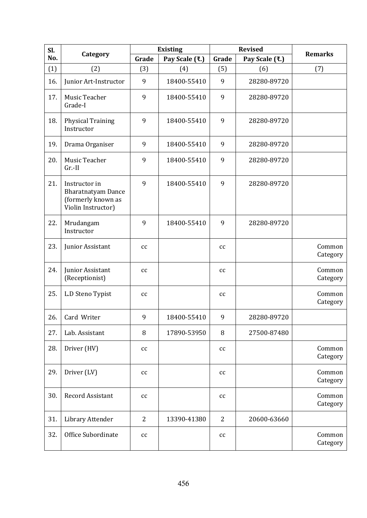| Sl. | Category                                                                               |                | <b>Existing</b> | <b>Revised</b> |                | <b>Remarks</b>     |
|-----|----------------------------------------------------------------------------------------|----------------|-----------------|----------------|----------------|--------------------|
| No. |                                                                                        | Grade          | Pay Scale (₹.)  | Grade          | Pay Scale (₹.) |                    |
| (1) | (2)                                                                                    | (3)            | (4)             | (5)            | (6)            | (7)                |
| 16. | Junior Art-Instructor                                                                  | 9              | 18400-55410     | 9              | 28280-89720    |                    |
| 17. | Music Teacher<br>Grade-I                                                               | 9              | 18400-55410     | 9              | 28280-89720    |                    |
| 18. | <b>Physical Training</b><br>Instructor                                                 | 9              | 18400-55410     | 9              | 28280-89720    |                    |
| 19. | Drama Organiser                                                                        | 9              | 18400-55410     | 9              | 28280-89720    |                    |
| 20. | Music Teacher<br>$Gr.-II$                                                              | 9              | 18400-55410     | 9              | 28280-89720    |                    |
| 21. | Instructor in<br><b>Bharatnatyam Dance</b><br>(formerly known as<br>Violin Instructor) | 9              | 18400-55410     | 9              | 28280-89720    |                    |
| 22. | Mrudangam<br>Instructor                                                                | 9              | 18400-55410     | 9              | 28280-89720    |                    |
| 23. | Junior Assistant                                                                       | cc             |                 | cc             |                | Common<br>Category |
| 24. | Junior Assistant<br>(Receptionist)                                                     | cc             |                 | cc             |                | Common<br>Category |
| 25. | L.D Steno Typist                                                                       | cc             |                 | cc             |                | Common<br>Category |
| 26. | Card Writer                                                                            | 9              | 18400-55410     | 9              | 28280-89720    |                    |
| 27. | Lab. Assistant                                                                         | 8              | 17890-53950     | 8              | 27500-87480    |                    |
| 28. | Driver (HV)                                                                            | cc             |                 | cc             |                | Common<br>Category |
| 29. | Driver (LV)                                                                            | cc             |                 | cc             |                | Common<br>Category |
| 30. | <b>Record Assistant</b>                                                                | cc             |                 | cc             |                | Common<br>Category |
| 31. | Library Attender                                                                       | $\overline{2}$ | 13390-41380     | $\overline{2}$ | 20600-63660    |                    |
| 32. | Office Subordinate                                                                     | cc             |                 | cc             |                | Common<br>Category |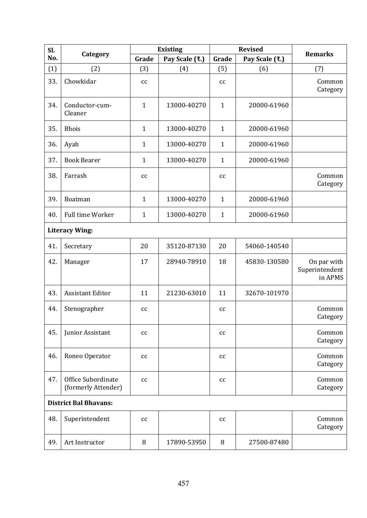| Sl. |                                           |              | <b>Existing</b> |              | <b>Revised</b> |                                          |  |  |  |
|-----|-------------------------------------------|--------------|-----------------|--------------|----------------|------------------------------------------|--|--|--|
| No. | Category                                  | Grade        | Pay Scale (₹.)  | Grade        | Pay Scale (₹.) | <b>Remarks</b>                           |  |  |  |
| (1) | (2)                                       | (3)          | (4)             | (5)          | (6)            | (7)                                      |  |  |  |
| 33. | Chowkidar                                 | cc           |                 | cc           |                | Common<br>Category                       |  |  |  |
| 34. | Conductor-cum-<br>Cleaner                 | $\mathbf{1}$ | 13000-40270     | $\mathbf{1}$ | 20000-61960    |                                          |  |  |  |
| 35. | <b>Bhois</b>                              | $\mathbf{1}$ | 13000-40270     | $\mathbf{1}$ | 20000-61960    |                                          |  |  |  |
| 36. | Ayah                                      | $\mathbf{1}$ | 13000-40270     | $\mathbf{1}$ | 20000-61960    |                                          |  |  |  |
| 37. | <b>Book Bearer</b>                        | $\mathbf{1}$ | 13000-40270     | $\mathbf{1}$ | 20000-61960    |                                          |  |  |  |
| 38. | Farrash                                   | cc           |                 | cc           |                | Common<br>Category                       |  |  |  |
| 39. | Boatman                                   | $\mathbf{1}$ | 13000-40270     | $\mathbf{1}$ | 20000-61960    |                                          |  |  |  |
| 40. | Full time Worker                          | $\mathbf{1}$ | 13000-40270     | $\mathbf{1}$ | 20000-61960    |                                          |  |  |  |
|     | <b>Literacy Wing:</b>                     |              |                 |              |                |                                          |  |  |  |
| 41. | Secretary                                 | 20           | 35120-87130     | 20           | 54060-140540   |                                          |  |  |  |
| 42. | Manager                                   | 17           | 28940-78910     | 18           | 45830-130580   | On par with<br>Superintendent<br>in APMS |  |  |  |
| 43. | <b>Assistant Editor</b>                   | 11           | 21230-63010     | 11           | 32670-101970   |                                          |  |  |  |
| 44. | Stenographer                              | cc           |                 | cc           |                | Common<br>Category                       |  |  |  |
| 45. | Junior Assistant                          | cc           |                 | cc           |                | Common<br>Category                       |  |  |  |
| 46. | Roneo Operator                            | cc           |                 | cc           |                | Common<br>Category                       |  |  |  |
| 47. | Office Subordinate<br>(formerly Attender) | cc           |                 | cc           |                | Common<br>Category                       |  |  |  |
|     | <b>District Bal Bhavans:</b>              |              |                 |              |                |                                          |  |  |  |
| 48. | Superintendent                            | cc           |                 | cc           |                | Common<br>Category                       |  |  |  |
| 49. | Art Instructor                            | 8            | 17890-53950     | 8            | 27500-87480    |                                          |  |  |  |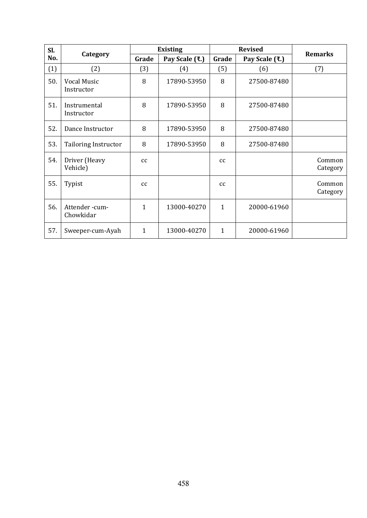| Sl. |                                  |       | <b>Existing</b> |                  | <b>Revised</b> | <b>Remarks</b>     |  |
|-----|----------------------------------|-------|-----------------|------------------|----------------|--------------------|--|
| No. | Category                         | Grade | Pay Scale (₹.)  | Grade            | Pay Scale (₹.) |                    |  |
| (1) | (2)                              | (3)   | (4)             | (5)              | (6)            | (7)                |  |
| 50. | <b>Vocal Music</b><br>Instructor | 8     | 17890-53950     | 8                | 27500-87480    |                    |  |
| 51. | Instrumental<br>Instructor       | 8     | 17890-53950     | 8<br>27500-87480 |                |                    |  |
| 52. | Dance Instructor                 | 8     | 17890-53950     | 8                | 27500-87480    |                    |  |
| 53. | <b>Tailoring Instructor</b>      | 8     | 17890-53950     | 8                | 27500-87480    |                    |  |
| 54. | Driver (Heavy<br>Vehicle)        | cc    |                 | cc               |                | Common<br>Category |  |
| 55. | Typist                           | cc    |                 | cc               |                | Common<br>Category |  |
| 56. | Attender-cum-<br>Chowkidar       | 1     | 13000-40270     | $\mathbf{1}$     | 20000-61960    |                    |  |
| 57. | Sweeper-cum-Ayah                 | 1     | 13000-40270     | $\mathbf{1}$     | 20000-61960    |                    |  |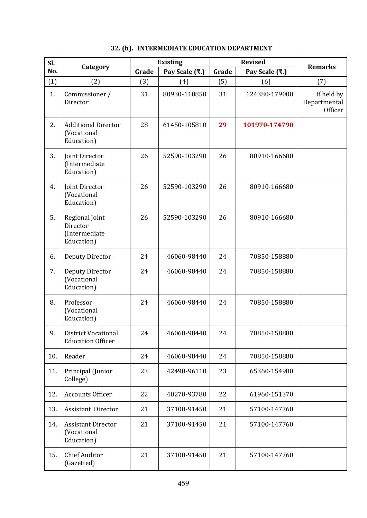| Sl. |                                                           |       | <b>Existing</b> | <b>Revised</b> |                | <b>Remarks</b>                        |
|-----|-----------------------------------------------------------|-------|-----------------|----------------|----------------|---------------------------------------|
| No. | Category                                                  | Grade | Pay Scale (₹.)  | Grade          | Pay Scale (₹.) |                                       |
| (1) | (2)                                                       | (3)   | (4)             | (5)            | (6)            | (7)                                   |
| 1.  | Commissioner /<br>Director                                | 31    | 80930-110850    | 31             | 124380-179000  | If held by<br>Departmental<br>Officer |
| 2.  | <b>Additional Director</b><br>(Vocational<br>Education)   | 28    | 61450-105810    | 29             | 101970-174790  |                                       |
| 3.  | Joint Director<br>(Intermediate<br>Education)             | 26    | 52590-103290    | 26             | 80910-166680   |                                       |
| 4.  | Joint Director<br>(Vocational<br>Education)               | 26    | 52590-103290    | 26             | 80910-166680   |                                       |
| 5.  | Regional Joint<br>Director<br>(Intermediate<br>Education) | 26    | 52590-103290    | 26             | 80910-166680   |                                       |
| 6.  | <b>Deputy Director</b>                                    | 24    | 46060-98440     | 24             | 70850-158880   |                                       |
| 7.  | <b>Deputy Director</b><br>(Vocational<br>Education)       | 24    | 46060-98440     | 24             | 70850-158880   |                                       |
| 8.  | Professor<br>(Vocational<br>Education)                    | 24    | 46060-98440     | 24             | 70850-158880   |                                       |
| 9.  | District Vocational<br><b>Education Officer</b>           | 24    | 46060-98440     | 24             | 70850-158880   |                                       |
| 10. | Reader                                                    | 24    | 46060-98440     | 24             | 70850-158880   |                                       |
| 11. | Principal (Junior<br>College)                             | 23    | 42490-96110     | 23             | 65360-154980   |                                       |
| 12. | <b>Accounts Officer</b>                                   | 22    | 40270-93780     | 22             | 61960-151370   |                                       |
| 13. | Assistant Director                                        | 21    | 37100-91450     | 21             | 57100-147760   |                                       |
| 14. | <b>Assistant Director</b><br>(Vocational<br>Education)    | 21    | 37100-91450     | 21             | 57100-147760   |                                       |
| 15. | <b>Chief Auditor</b><br>(Gazetted)                        | 21    | 37100-91450     | 21             | 57100-147760   |                                       |

|  | 32. (h). INTERMEDIATE EDUCATION DEPARTMENT |
|--|--------------------------------------------|
|  |                                            |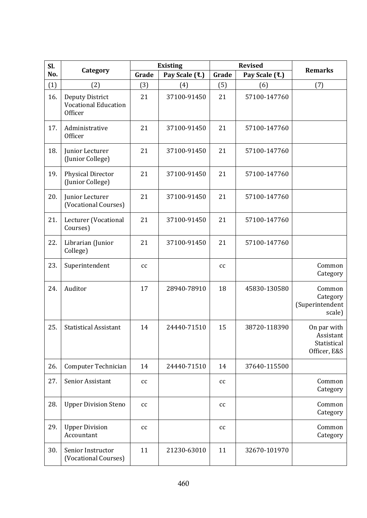| Sl. |                                                                  |       | <b>Existing</b> | <b>Revised</b> |                | <b>Remarks</b>                                          |
|-----|------------------------------------------------------------------|-------|-----------------|----------------|----------------|---------------------------------------------------------|
| No. | Category                                                         | Grade | Pay Scale (₹.)  | Grade          | Pay Scale (₹.) |                                                         |
| (1) | (2)                                                              | (3)   | (4)             | (5)            | (6)            | (7)                                                     |
| 16. | <b>Deputy District</b><br><b>Vocational Education</b><br>Officer | 21    | 37100-91450     | 21             | 57100-147760   |                                                         |
| 17. | Administrative<br>Officer                                        | 21    | 37100-91450     | 21             | 57100-147760   |                                                         |
| 18. | Junior Lecturer<br>(Junior College)                              | 21    | 37100-91450     | 21             | 57100-147760   |                                                         |
| 19. | <b>Physical Director</b><br>(Junior College)                     | 21    | 37100-91450     | 21             | 57100-147760   |                                                         |
| 20. | Junior Lecturer<br>(Vocational Courses)                          | 21    | 37100-91450     | 21             | 57100-147760   |                                                         |
| 21. | Lecturer (Vocational<br>Courses)                                 | 21    | 37100-91450     | 21             | 57100-147760   |                                                         |
| 22. | Librarian (Junior<br>College)                                    | 21    | 37100-91450     | 21             | 57100-147760   |                                                         |
| 23. | Superintendent                                                   | cc    |                 | cc             |                | Common<br>Category                                      |
| 24. | Auditor                                                          | 17    | 28940-78910     | 18             | 45830-130580   | Common<br>Category<br>(Superintendent<br>scale)         |
| 25. | <b>Statistical Assistant</b>                                     | 14    | 24440-71510     | 15             | 38720-118390   | On par with<br>Assistant<br>Statistical<br>Officer, E&S |
| 26. | Computer Technician                                              | 14    | 24440-71510     | 14             | 37640-115500   |                                                         |
| 27. | Senior Assistant                                                 | cc    |                 | cc             |                | Common<br>Category                                      |
| 28. | <b>Upper Division Steno</b>                                      | cc    |                 | cc             |                | Common<br>Category                                      |
| 29. | <b>Upper Division</b><br>Accountant                              | cc    |                 | cc             |                | Common<br>Category                                      |
| 30. | Senior Instructor<br>(Vocational Courses)                        | 11    | 21230-63010     | 11             | 32670-101970   |                                                         |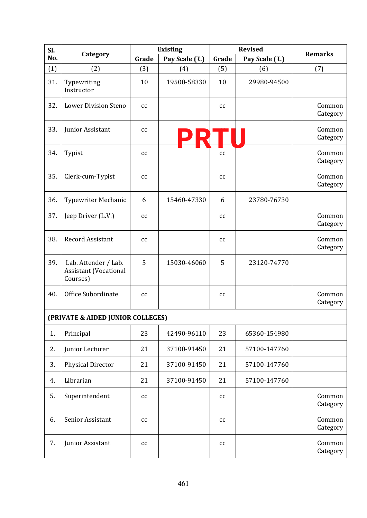| Sl. |                                                                  |                            | <b>Existing</b> | <b>Revised</b>             |                | <b>Remarks</b>     |
|-----|------------------------------------------------------------------|----------------------------|-----------------|----------------------------|----------------|--------------------|
| No. | Category                                                         | Grade                      | Pay Scale (₹.)  | Grade                      | Pay Scale (₹.) |                    |
| (1) | (2)                                                              | (3)                        | (4)             | (5)                        | (6)            | (7)                |
| 31. | Typewriting<br>Instructor                                        | 10                         | 19500-58330     | 10                         | 29980-94500    |                    |
| 32. | <b>Lower Division Steno</b>                                      | cc                         |                 | cc                         |                | Common<br>Category |
| 33. | Junior Assistant                                                 | cc                         |                 | cc                         |                | Common<br>Category |
| 34. | Typist                                                           | cc                         |                 | cc                         |                | Common<br>Category |
| 35. | Clerk-cum-Typist                                                 | cc                         |                 | cc                         |                | Common<br>Category |
| 36. | <b>Typewriter Mechanic</b>                                       | 6                          | 15460-47330     | 6                          | 23780-76730    |                    |
| 37. | Jeep Driver (L.V.)                                               | cc                         |                 | cc                         |                | Common<br>Category |
| 38. | <b>Record Assistant</b>                                          | cc                         |                 | cc                         |                | Common<br>Category |
| 39. | Lab. Attender / Lab.<br><b>Assistant (Vocational</b><br>Courses) | 5                          | 15030-46060     | 5                          | 23120-74770    |                    |
| 40. | Office Subordinate                                               | $\mathop{\rm cc}\nolimits$ |                 | cc                         |                | Common<br>Category |
|     | (PRIVATE & AIDED JUNIOR COLLEGES)                                |                            |                 |                            |                |                    |
| 1.  | Principal                                                        | 23                         | 42490-96110     | 23                         | 65360-154980   |                    |
| 2.  | Junior Lecturer                                                  | 21                         | 37100-91450     | 21                         | 57100-147760   |                    |
| 3.  | <b>Physical Director</b>                                         | 21                         | 37100-91450     | 21                         | 57100-147760   |                    |
| 4.  | Librarian                                                        | 21                         | 37100-91450     | 21                         | 57100-147760   |                    |
| 5.  | Superintendent                                                   | $\mathop{\rm CC}$          |                 | $\mathop{\rm cc}\nolimits$ |                | Common<br>Category |
| 6.  | Senior Assistant                                                 | $\mathop{\rm CC}$          |                 | $\mathop{\rm cc}\nolimits$ |                | Common<br>Category |
| 7.  | Junior Assistant                                                 | $\mathop{\rm CC}$          |                 | $\mathop{\rm cc}\nolimits$ |                | Common<br>Category |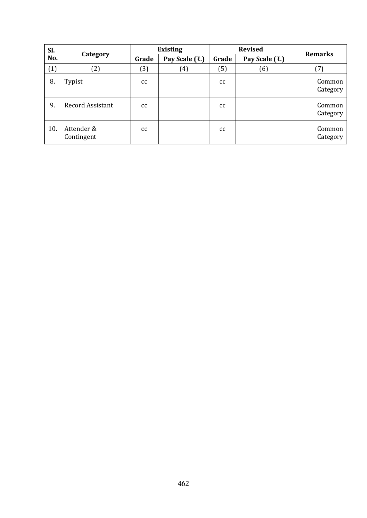| Sl. |                          |       | <b>Existing</b> |       | <b>Revised</b> | <b>Remarks</b>     |
|-----|--------------------------|-------|-----------------|-------|----------------|--------------------|
| No. | Category                 | Grade | Pay Scale (₹.)  | Grade | Pay Scale (₹.) |                    |
| (1) | (2)                      | (3)   | $(4)$           | (5)   | (6)            | (7)                |
| 8.  | Typist                   | cc    |                 | cc    |                | Common<br>Category |
| 9.  | <b>Record Assistant</b>  | cc    |                 | cc    |                | Common<br>Category |
| 10. | Attender &<br>Contingent | cc    |                 | cc    |                | Common<br>Category |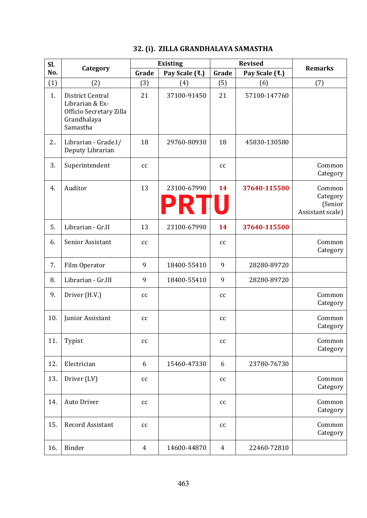### **32. (i). ZILLA GRANDHALAYA SAMASTHA**

| Sl. |                                                                                           |                | <b>Existing</b>            | <b>Revised</b>    |                |                                                   |
|-----|-------------------------------------------------------------------------------------------|----------------|----------------------------|-------------------|----------------|---------------------------------------------------|
| No. | Category                                                                                  | Grade          | Pay Scale (₹.)             | Grade             | Pay Scale (₹.) | <b>Remarks</b>                                    |
| (1) | (2)                                                                                       | (3)            | (4)                        | (5)               | (6)            | (7)                                               |
| 1.  | District Central<br>Librarian & Ex-<br>Officio Secretary Zilla<br>Grandhalaya<br>Samastha | 21             | 37100-91450                | 21                | 57100-147760   |                                                   |
| 2.  | Librarian - Grade.I/<br>Deputy Librarian                                                  | 18             | 29760-80930                | 18                | 45830-130580   |                                                   |
| 3.  | Superintendent                                                                            | cc             |                            | cc                |                | Common<br>Category                                |
| 4.  | Auditor                                                                                   | 13             | 23100-67990<br><b>PRTU</b> | 14                | 37640-115500   | Common<br>Category<br>(Senior<br>Assistant scale) |
| 5.  | Librarian - Gr.II                                                                         | 13             | 23100-67990                | 14                | 37640-115500   |                                                   |
| 6.  | Senior Assistant                                                                          | cc             |                            | cc                |                | Common<br>Category                                |
| 7.  | Film Operator                                                                             | 9              | 18400-55410                | 9                 | 28280-89720    |                                                   |
| 8.  | Librarian - Gr.III                                                                        | 9              | 18400-55410                | 9                 | 28280-89720    |                                                   |
| 9.  | Driver (H.V.)                                                                             | cc             |                            | cc                |                | Common<br>Category                                |
| 10. | Junior Assistant                                                                          | cc             |                            | cc                |                | Common<br>Category                                |
| 11. | Typist                                                                                    | cc             |                            | cc                |                | Common<br>Category                                |
| 12. | Electrician                                                                               | 6              | 15460-47330                | 6                 | 23780-76730    |                                                   |
| 13. | Driver (LV)                                                                               | cc             |                            | $\mathop{\rm CC}$ |                | Common<br>Category                                |
| 14. | Auto Driver                                                                               | cc             |                            | cc                |                | Common<br>Category                                |
| 15. | Record Assistant                                                                          | cc             |                            | cc                |                | Common<br>Category                                |
| 16. | Binder                                                                                    | $\overline{4}$ | 14600-44870                | $\overline{4}$    | 22460-72810    |                                                   |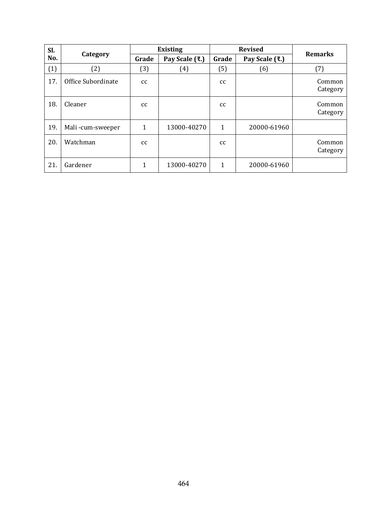| Sl. |                    | <b>Revised</b><br><b>Existing</b> |                | <b>Remarks</b> |                |                    |
|-----|--------------------|-----------------------------------|----------------|----------------|----------------|--------------------|
| No. | Category           | Grade                             | Pay Scale (₹.) | Grade          | Pay Scale (₹.) |                    |
| (1) | (2)                | (3)                               | (4)            | (5)            | (6)            | (7)                |
| 17. | Office Subordinate | cc                                |                | <sub>cc</sub>  |                | Common<br>Category |
| 18. | Cleaner            | <sub>cc</sub>                     |                | <sub>cc</sub>  |                | Common<br>Category |
| 19. | Mali-cum-sweeper   | 1                                 | 13000-40270    | $\mathbf{1}$   | 20000-61960    |                    |
| 20. | Watchman           | cc                                |                | cc             |                | Common<br>Category |
| 21. | Gardener           | 1                                 | 13000-40270    | 1              | 20000-61960    |                    |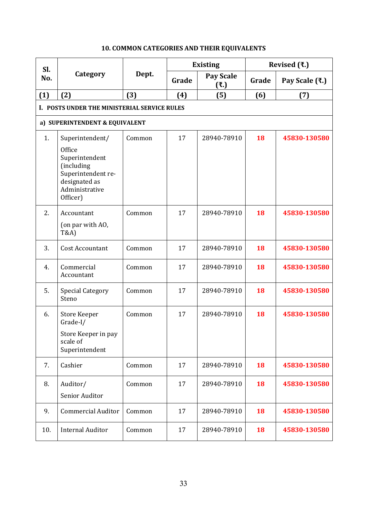| SI. |                                                                                                                                |        |       | <b>Existing</b>         | Revised $(3.1)$ |                |  |
|-----|--------------------------------------------------------------------------------------------------------------------------------|--------|-------|-------------------------|-----------------|----------------|--|
| No. | Category                                                                                                                       | Dept.  | Grade | <b>Pay Scale</b><br>(3) | Grade           | Pay Scale (₹.) |  |
| (1) | (2)                                                                                                                            | (3)    | (4)   | (5)                     | (6)             | (7)            |  |
|     | I. POSTS UNDER THE MINISTERIAL SERVICE RULES                                                                                   |        |       |                         |                 |                |  |
|     | a) SUPERINTENDENT & EQUIVALENT                                                                                                 |        |       |                         |                 |                |  |
| 1.  | Superintendent/<br>Office<br>Superintendent<br>(including<br>Superintendent re-<br>designated as<br>Administrative<br>Officer) | Common | 17    | 28940-78910             | 18              | 45830-130580   |  |
| 2.  | Accountant<br>(on par with AO,<br><b>T&amp;A)</b>                                                                              | Common | 17    | 28940-78910             | 18              | 45830-130580   |  |
| 3.  | <b>Cost Accountant</b>                                                                                                         | Common | 17    | 28940-78910             | 18              | 45830-130580   |  |
| 4.  | Commercial<br>Accountant                                                                                                       | Common | 17    | 28940-78910             | 18              | 45830-130580   |  |
| 5.  | <b>Special Category</b><br>Steno                                                                                               | Common | 17    | 28940-78910             | 18              | 45830-130580   |  |
| 6.  | <b>Store Keeper</b><br>Grade-I/<br>Store Keeper in pay<br>scale of<br>Superintendent                                           | Common | 17    | 28940-78910             | 18              | 45830-130580   |  |
| 7.  | Cashier                                                                                                                        | Common | 17    | 28940-78910             | 18              | 45830-130580   |  |
| 8.  | Auditor/<br>Senior Auditor                                                                                                     | Common | 17    | 28940-78910             | 18              | 45830-130580   |  |
| 9.  | <b>Commercial Auditor</b>                                                                                                      | Common | 17    | 28940-78910             | 18              | 45830-130580   |  |
| 10. | <b>Internal Auditor</b>                                                                                                        | Common | 17    | 28940-78910             | 18              | 45830-130580   |  |

### **10. COMMON CATEGORIES AND THEIR EQUIVALENTS**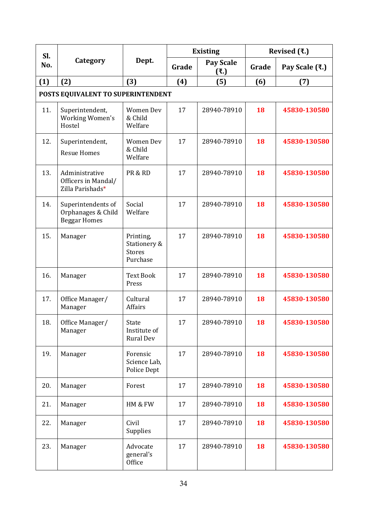| SI. |                                                                 |                                                        |       | <b>Existing</b>          | Revised $(3.1)$ |                |
|-----|-----------------------------------------------------------------|--------------------------------------------------------|-------|--------------------------|-----------------|----------------|
| No. | Category                                                        | Dept.                                                  | Grade | <b>Pay Scale</b><br>(3.) | Grade           | Pay Scale (₹.) |
| (1) | (2)                                                             | (3)                                                    | (4)   | (5)                      | (6)             | (7)            |
|     | POSTS EQUIVALENT TO SUPERINTENDENT                              |                                                        |       |                          |                 |                |
| 11. | Superintendent,<br>Working Women's<br>Hostel                    | <b>Women Dev</b><br>& Child<br>Welfare                 | 17    | 28940-78910              | 18              | 45830-130580   |
| 12. | Superintendent,<br><b>Resue Homes</b>                           | <b>Women Dev</b><br>& Child<br>Welfare                 | 17    | 28940-78910              | 18              | 45830-130580   |
| 13. | Administrative<br>Officers in Mandal/<br>Zilla Parishads*       | PR & RD                                                | 17    | 28940-78910              | 18              | 45830-130580   |
| 14. | Superintendents of<br>Orphanages & Child<br><b>Beggar Homes</b> | Social<br>Welfare                                      | 17    | 28940-78910              | 18              | 45830-130580   |
| 15. | Manager                                                         | Printing,<br>Stationery &<br><b>Stores</b><br>Purchase | 17    | 28940-78910              | 18              | 45830-130580   |
| 16. | Manager                                                         | <b>Text Book</b><br>Press                              | 17    | 28940-78910              | 18              | 45830-130580   |
| 17. | Office Manager/<br>Manager                                      | Cultural<br>Affairs                                    | 17    | 28940-78910              | 18              | 45830-130580   |
| 18. | Office Manager/<br>Manager                                      | State<br>Institute of<br><b>Rural Dev</b>              | 17    | 28940-78910              | <b>18</b>       | 45830-130580   |
| 19. | Manager                                                         | Forensic<br>Science Lab,<br>Police Dept                | 17    | 28940-78910              | 18              | 45830-130580   |
| 20. | Manager                                                         | Forest                                                 | 17    | 28940-78910              | 18              | 45830-130580   |
| 21. | Manager                                                         | HM & FW                                                | 17    | 28940-78910              | 18              | 45830-130580   |
| 22. | Manager                                                         | Civil<br>Supplies                                      | 17    | 28940-78910              | 18              | 45830-130580   |
| 23. | Manager                                                         | Advocate<br>general's<br>Office                        | 17    | 28940-78910              | 18              | 45830-130580   |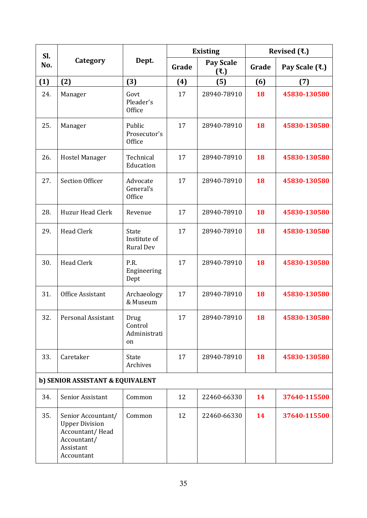| Sl. |                                                                                                          |                                           |       | <b>Existing</b>   | Revised $(3.1)$ |                |
|-----|----------------------------------------------------------------------------------------------------------|-------------------------------------------|-------|-------------------|-----------------|----------------|
| No. | Category                                                                                                 | Dept.                                     | Grade | Pay Scale<br>(3.) | Grade           | Pay Scale (₹.) |
| (1) | (2)                                                                                                      | (3)                                       | (4)   | (5)               | (6)             | (7)            |
| 24. | Manager                                                                                                  | Govt<br>Pleader's<br>Office               | 17    | 28940-78910       | 18              | 45830-130580   |
| 25. | Manager                                                                                                  | Public<br>Prosecutor's<br>Office          | 17    | 28940-78910       | 18              | 45830-130580   |
| 26. | <b>Hostel Manager</b>                                                                                    | Technical<br>Education                    | 17    | 28940-78910       | 18              | 45830-130580   |
| 27. | <b>Section Officer</b>                                                                                   | Advocate<br>General's<br>Office           | 17    | 28940-78910       | 18              | 45830-130580   |
| 28. | Huzur Head Clerk                                                                                         | Revenue                                   | 17    | 28940-78910       | 18              | 45830-130580   |
| 29. | <b>Head Clerk</b>                                                                                        | State<br>Institute of<br><b>Rural Dev</b> | 17    | 28940-78910       | 18              | 45830-130580   |
| 30. | <b>Head Clerk</b>                                                                                        | P.R.<br>Engineering<br>Dept               | 17    | 28940-78910       | 18              | 45830-130580   |
| 31. | Office Assistant                                                                                         | Archaeology<br>& Museum                   | 17    | 28940-78910       | 18              | 45830-130580   |
| 32. | Personal Assistant                                                                                       | Drug<br>Control<br>Administrati<br>on     | 17    | 28940-78910       | 18              | 45830-130580   |
| 33. | Caretaker                                                                                                | State<br>Archives                         | 17    | 28940-78910       | 18              | 45830-130580   |
|     | b) SENIOR ASSISTANT & EQUIVALENT                                                                         |                                           |       |                   |                 |                |
| 34. | Senior Assistant                                                                                         | Common                                    | 12    | 22460-66330       | 14              | 37640-115500   |
| 35. | Senior Accountant/<br><b>Upper Division</b><br>Accountant/Head<br>Accountant/<br>Assistant<br>Accountant | Common                                    | 12    | 22460-66330       | 14              | 37640-115500   |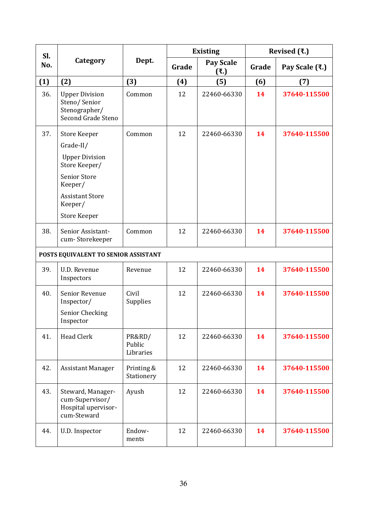| Sl. |                                                                                                                                                                          | <b>Existing</b>                      |     |             |                | Revised $(3.1)$ |  |
|-----|--------------------------------------------------------------------------------------------------------------------------------------------------------------------------|--------------------------------------|-----|-------------|----------------|-----------------|--|
| No. | Category                                                                                                                                                                 | Dept.<br>Pay Scale<br>Grade<br>(3.5) |     | Grade       | Pay Scale (₹.) |                 |  |
| (1) | (2)                                                                                                                                                                      | (3)                                  | (4) | (5)         | (6)            | (7)             |  |
| 36. | <b>Upper Division</b><br>Steno/Senior<br>Stenographer/<br>Second Grade Steno                                                                                             | Common                               | 12  | 22460-66330 | 14             | 37640-115500    |  |
| 37. | <b>Store Keeper</b><br>Grade-II/<br><b>Upper Division</b><br>Store Keeper/<br><b>Senior Store</b><br>Keeper/<br><b>Assistant Store</b><br>Keeper/<br><b>Store Keeper</b> | Common                               | 12  | 22460-66330 | 14             | 37640-115500    |  |
| 38. | Senior Assistant-<br>cum-Storekeeper                                                                                                                                     | Common                               | 12  | 22460-66330 | 14             | 37640-115500    |  |
|     | POSTS EQUIVALENT TO SENIOR ASSISTANT                                                                                                                                     |                                      |     |             |                |                 |  |
| 39. | U.D. Revenue<br>Inspectors                                                                                                                                               | Revenue                              | 12  | 22460-66330 | 14             | 37640-115500    |  |
| 40. | Senior Revenue<br>Inspector/<br>Senior Checking<br>Inspector                                                                                                             | Civil<br>Supplies                    | 12  | 22460-66330 | 14             | 37640-115500    |  |
| 41. | <b>Head Clerk</b>                                                                                                                                                        | PR&RD/<br>Public<br>Libraries        | 12  | 22460-66330 | 14             | 37640-115500    |  |
| 42. | <b>Assistant Manager</b>                                                                                                                                                 | Printing &<br>Stationery             | 12  | 22460-66330 | 14             | 37640-115500    |  |
| 43. | Steward, Manager-<br>cum-Supervisor/<br>Hospital upervisor-<br>cum-Steward                                                                                               | Ayush                                | 12  | 22460-66330 | 14             | 37640-115500    |  |
| 44. | U.D. Inspector                                                                                                                                                           | Endow-<br>ments                      | 12  | 22460-66330 | 14             | 37640-115500    |  |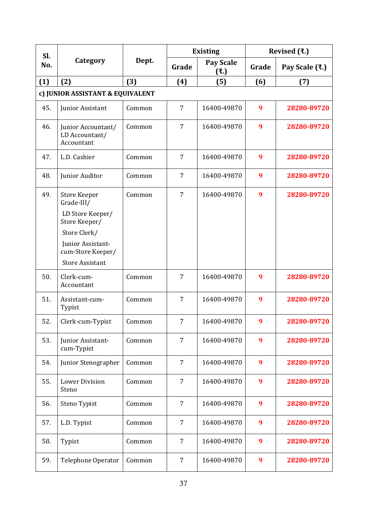| Sl.<br>No.                       | Category                                           | Dept.  | <b>Existing</b> |                    | Revised $(3.1)$ |                |  |  |
|----------------------------------|----------------------------------------------------|--------|-----------------|--------------------|-----------------|----------------|--|--|
|                                  |                                                    |        | Grade           | Pay Scale<br>(3.5) | Grade           | Pay Scale (₹.) |  |  |
| (1)                              | (2)                                                | (3)    | (4)             | (5)                | (6)             | (7)            |  |  |
| c) JUNIOR ASSISTANT & EQUIVALENT |                                                    |        |                 |                    |                 |                |  |  |
| 45.                              | Junior Assistant                                   | Common | 7               | 16400-49870        | 9               | 28280-89720    |  |  |
| 46.                              | Junior Accountant/<br>LD Accountant/<br>Accountant | Common | 7               | 16400-49870        | 9               | 28280-89720    |  |  |
| 47.                              | L.D. Cashier                                       | Common | $\overline{7}$  | 16400-49870        | 9               | 28280-89720    |  |  |
| 48.                              | Junior Auditor                                     | Common | $\overline{7}$  | 16400-49870        | 9               | 28280-89720    |  |  |
| 49.                              | <b>Store Keeper</b><br>Grade-III/                  | Common | $\overline{7}$  | 16400-49870        | 9               | 28280-89720    |  |  |
|                                  | LD Store Keeper/<br>Store Keeper/                  |        |                 |                    |                 |                |  |  |
|                                  | Store Clerk/                                       |        |                 |                    |                 |                |  |  |
|                                  | Junior Assistant-<br>cum-Store Keeper/             |        |                 |                    |                 |                |  |  |
|                                  | <b>Store Assistant</b>                             |        |                 |                    |                 |                |  |  |
| 50.                              | Clerk-cum-<br>Accountant                           | Common | 7               | 16400-49870        | 9               | 28280-89720    |  |  |
| 51.                              | Assistant-cum-<br>Typist                           | Common | $\overline{7}$  | 16400-49870        | 9               | 28280-89720    |  |  |
| 52.                              | Clerk-cum-Typist                                   | Common | 7               | 16400-49870        | 9               | 28280-89720    |  |  |
| 53.                              | Junior Assistant-<br>cum-Typist                    | Common | 7               | 16400-49870        | 9               | 28280-89720    |  |  |
| 54.                              | Junior Stenographer                                | Common | 7               | 16400-49870        | 9               | 28280-89720    |  |  |
| 55.                              | <b>Lower Division</b><br>Steno                     | Common | 7               | 16400-49870        | 9               | 28280-89720    |  |  |
| 56.                              | Steno Typist                                       | Common | $\overline{7}$  | 16400-49870        | 9               | 28280-89720    |  |  |
| 57.                              | L.D. Typist                                        | Common | $\overline{7}$  | 16400-49870        | 9               | 28280-89720    |  |  |
| 58.                              | Typist                                             | Common | $\overline{7}$  | 16400-49870        | 9               | 28280-89720    |  |  |
| 59.                              | Telephone Operator                                 | Common | 7               | 16400-49870        | 9               | 28280-89720    |  |  |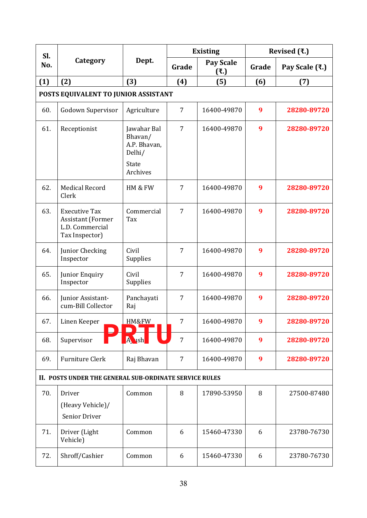| SI.                                                    | Category                                                                              | Dept.                                            | <b>Existing</b> |                         | Revised $(3.1)$ |                |  |
|--------------------------------------------------------|---------------------------------------------------------------------------------------|--------------------------------------------------|-----------------|-------------------------|-----------------|----------------|--|
| No.                                                    |                                                                                       |                                                  | Grade           | <b>Pay Scale</b><br>(3) | Grade           | Pay Scale (₹.) |  |
| (1)                                                    | (2)                                                                                   | (3)                                              | (4)             | (5)                     | (6)             | (7)            |  |
| POSTS EQUIVALENT TO JUNIOR ASSISTANT                   |                                                                                       |                                                  |                 |                         |                 |                |  |
| 60.                                                    | Godown Supervisor                                                                     | Agriculture                                      | $\overline{7}$  | 16400-49870             | 9               | 28280-89720    |  |
| 61.                                                    | Receptionist                                                                          | Jawahar Bal<br>Bhavan/<br>A.P. Bhavan,<br>Delhi/ | $\overline{7}$  | 16400-49870             | 9               | 28280-89720    |  |
|                                                        |                                                                                       | State<br>Archives                                |                 |                         |                 |                |  |
| 62.                                                    | <b>Medical Record</b><br>Clerk                                                        | HM & FW                                          | $\overline{7}$  | 16400-49870             | 9               | 28280-89720    |  |
| 63.                                                    | <b>Executive Tax</b><br><b>Assistant (Former</b><br>L.D. Commercial<br>Tax Inspector) | Commercial<br>Tax                                | 7               | 16400-49870             | 9               | 28280-89720    |  |
| 64.                                                    | Junior Checking<br>Inspector                                                          | Civil<br>Supplies                                | 7               | 16400-49870             | 9               | 28280-89720    |  |
| 65.                                                    | Junior Enquiry<br>Inspector                                                           | Civil<br>Supplies                                | $\overline{7}$  | 16400-49870             | 9               | 28280-89720    |  |
| 66.                                                    | Junior Assistant-<br>cum-Bill Collector                                               | Panchayati<br>Raj                                | 7               | 16400-49870             | 9               | 28280-89720    |  |
| 67.                                                    | Linen Keeper                                                                          | HM&FW                                            | 7               | 16400-49870             | 9               | 28280-89720    |  |
| 68.                                                    | Supervisor                                                                            | Aush                                             | $\overline{7}$  | 16400-49870             | 9               | 28280-89720    |  |
| 69.                                                    | <b>Furniture Clerk</b>                                                                | Raj Bhavan                                       | $\overline{7}$  | 16400-49870             | 9               | 28280-89720    |  |
| II. POSTS UNDER THE GENERAL SUB-ORDINATE SERVICE RULES |                                                                                       |                                                  |                 |                         |                 |                |  |
| 70.                                                    | Driver<br>(Heavy Vehicle)/<br>Senior Driver                                           | Common                                           | 8               | 17890-53950             | 8               | 27500-87480    |  |
| 71.                                                    | Driver (Light<br>Vehicle)                                                             | Common                                           | 6               | 15460-47330             | 6               | 23780-76730    |  |
| 72.                                                    | Shroff/Cashier                                                                        | Common                                           | 6               | 15460-47330             | 6               | 23780-76730    |  |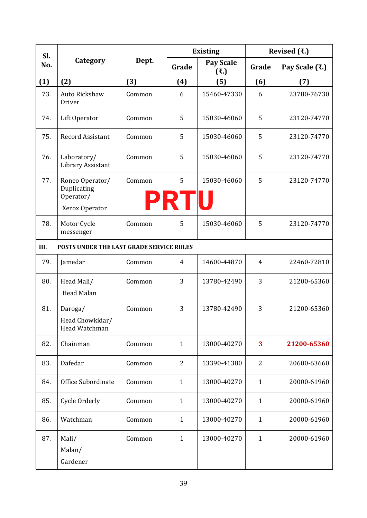| Sl.                                              | Category                                                      | Dept.  | <b>Existing</b>  |                  | Revised $(3.1)$ |                |  |  |
|--------------------------------------------------|---------------------------------------------------------------|--------|------------------|------------------|-----------------|----------------|--|--|
| No.                                              |                                                               |        | Grade            | Pay Scale<br>(3) | Grade           | Pay Scale (₹.) |  |  |
| (1)                                              | (2)                                                           | (3)    | (4)              | (5)              | (6)             | (7)            |  |  |
| 73.                                              | Auto Rickshaw<br>Driver                                       | Common | 6                | 15460-47330      | 6               | 23780-76730    |  |  |
| 74.                                              | Lift Operator                                                 | Common | 5                | 15030-46060      | 5               | 23120-74770    |  |  |
| 75.                                              | <b>Record Assistant</b>                                       | Common | 5                | 15030-46060      | 5               | 23120-74770    |  |  |
| 76.                                              | Laboratory/<br>Library Assistant                              | Common | 5                | 15030-46060      | 5               | 23120-74770    |  |  |
| 77.                                              | Roneo Operator/<br>Duplicating<br>Operator/<br>Xerox Operator | Common | 5<br><b>PRTU</b> | 15030-46060      | 5               | 23120-74770    |  |  |
| 78.                                              | Motor Cycle<br>messenger                                      | Common | 5                | 15030-46060      | 5               | 23120-74770    |  |  |
| III.<br>POSTS UNDER THE LAST GRADE SERVICE RULES |                                                               |        |                  |                  |                 |                |  |  |
| 79.                                              | Jamedar                                                       | Common | $\overline{4}$   | 14600-44870      | 4               | 22460-72810    |  |  |
| 80.                                              | Head Mali/<br>Head Malan                                      | Common | 3                | 13780-42490      | 3               | 21200-65360    |  |  |
| 81.                                              | Daroga/<br>Head Chowkidar/<br>Head Watchman                   | Common | 3                | 13780-42490      | 3               | 21200-65360    |  |  |
| 82.                                              | Chainman                                                      | Common | $\mathbf{1}$     | 13000-40270      | 3               | 21200-65360    |  |  |
| 83.                                              | Dafedar                                                       | Common | $\overline{2}$   | 13390-41380      | 2               | 20600-63660    |  |  |
| 84.                                              | Office Subordinate                                            | Common | $\mathbf{1}$     | 13000-40270      | $\mathbf{1}$    | 20000-61960    |  |  |
| 85.                                              | Cycle Orderly                                                 | Common | $\mathbf{1}$     | 13000-40270      | $\mathbf{1}$    | 20000-61960    |  |  |
| 86.                                              | Watchman                                                      | Common | $\mathbf{1}$     | 13000-40270      | $\mathbf{1}$    | 20000-61960    |  |  |
| 87.                                              | Mali/<br>Malan/<br>Gardener                                   | Common | $\mathbf{1}$     | 13000-40270      | $\mathbf{1}$    | 20000-61960    |  |  |